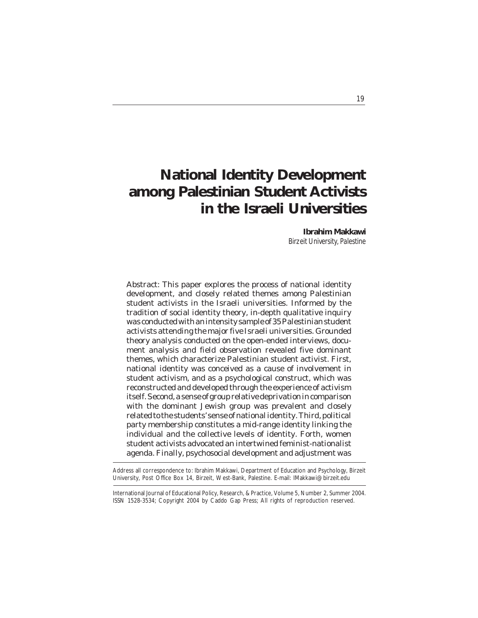# **National Identity Development among Palestinian Student Activists in the Israeli Universities**

**Ibrahim Makkawi** *Birzeit University, Palestine*

Abstract: This paper explores the process of national identity development, and closely related themes among Palestinian student activists in the Israeli universities. Informed by the tradition of social identity theory, in-depth qualitative inquiry was conducted with an intensity sample of 35 Palestinian student activists attending the major five Israeli universities. Grounded theory analysis conducted on the open-ended interviews, document analysis and field observation revealed five dominant themes, which characterize Palestinian student activist. First, national identity was conceived as a cause of involvement in student activism, and as a psychological construct, which was reconstructed and developed through the experience of activism itself. Second, a sense of group relative deprivation in comparison with the dominant Jewish group was prevalent and closely related to the students' sense of national identity. Third, political party membership constitutes a mid-range identity linking the individual and the collective levels of identity. Forth, women student activists advocated an intertwined feminist-nationalist agenda. Finally, psychosocial development and adjustment was

Address all correspondence to: Ibrahim Makkawi, Department of Education and Psychology, Birzeit University, Post Office Box 14, Birzeit, West-Bank, Palestine. E-mail: IMakkawi@birzeit.edu

International Journal of Educational Policy, Research, & Practice, Volume 5, Number 2, Summer 2004. ISSN 1528-3534; Copyright 2004 by Caddo Gap Press; All rights of reproduction reserved.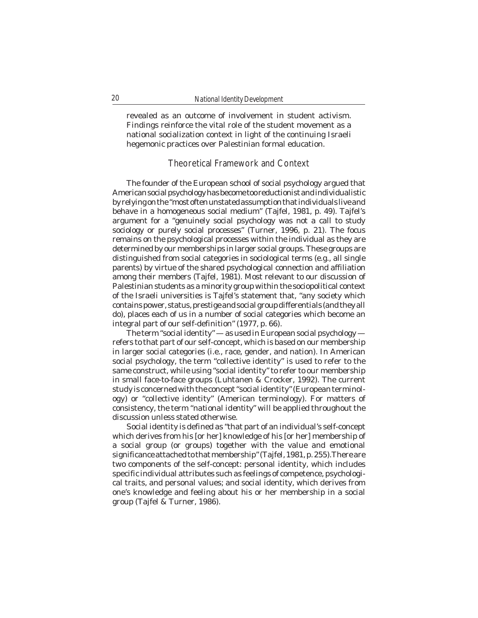revealed as an outcome of involvement in student activism. Findings reinforce the vital role of the student movement as a national socialization context in light of the continuing Israeli hegemonic practices over Palestinian formal education.

# Theoretical Framework and Context

The founder of the European school of social psychology argued that American social psychology has become too reductionist and individualistic by relying on the "most often unstated assumption that individuals live and behave in a homogeneous social medium" (Tajfel, 1981, p. 49). Tajfel's argument for a "genuinely social psychology was not a call to study sociology or purely social processes" (Turner, 1996, p. 21). The focus remains on the psychological processes within the individual as they are determined by our memberships in larger social groups. These groups are distinguished from social categories in sociological terms (e.g., all single parents) by virtue of the shared psychological connection and affiliation among their members (Tajfel, 1981). Most relevant to our discussion of Palestinian students as a minority group within the sociopolitical context of the Israeli universities is Tajfel's statement that, "any society which contains power, status, prestige and social group differentials (and they all do), places each of us in a number of social categories which become an integral part of our self-definition" (1977, p. 66).

The term "social identity" — as used in European social psychology refers to that part of our self-concept, which is based on our membership in larger social categories (i.e., race, gender, and nation). In American social psychology, the term "collective identity" is used to refer to the same construct, while using "social identity" to refer to our membership in small face-to-face groups (Luhtanen & Crocker, 1992). The current study is concerned with the concept "social identity" (European terminology) or "collective identity" (American terminology). For matters of consistency, the term "*national identity*" will be applied throughout the discussion unless stated otherwise.

Social identity is defined as "that part of an individual's self-concept which derives from his [or her] knowledge of his [or her] membership of a social group (or groups) together with the value and emotional significance attached to that membership" (Tajfel, 1981, p. 255).There are two components of the self-concept: personal identity, which includes specific individual attributes such as feelings of competence, psychological traits, and personal values; and social identity, which derives from one's knowledge and feeling about his or her membership in a social group (Tajfel & Turner, 1986).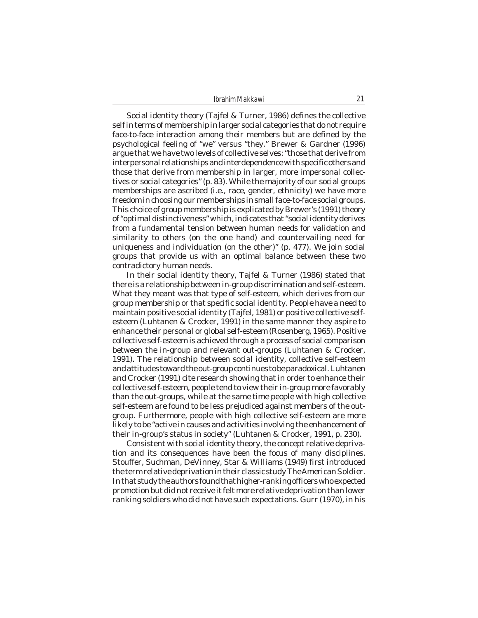*Ibrahim Makkawi* 21

Social identity theory (Tajfel & Turner, 1986) defines the collective self in terms of membership in larger social categories that do not require face-to-face interaction among their members but are defined by the psychological feeling of "we" versus "they." Brewer & Gardner (1996) argue that we have two levels of collective selves: "those that derive from interpersonal relationships and interdependence with specific others and those that derive from membership in larger, more impersonal collectives or social categories" (p. 83). While the majority of our social groups memberships are ascribed (i.e., race, gender, ethnicity) we have more freedom in choosing our memberships in small face-to-face social groups. This choice of group membership is explicated by Brewer's (1991) theory of "optimal distinctiveness" which, indicates that "social identity derives from a fundamental tension between human needs for validation and similarity to others (on the one hand) and countervailing need for uniqueness and individuation (on the other)" (p. 477). We join social groups that provide us with an optimal balance between these two contradictory human needs.

In their social identity theory, Tajfel & Turner (1986) stated that there is a relationship between in-group discrimination and self-esteem. What they meant was that type of self-esteem, which derives from our group membership or that specific social identity. People have a need to maintain positive social identity (Tajfel, 1981) or positive collective selfesteem (Luhtanen & Crocker, 1991) in the same manner they aspire to enhance their personal or global self-esteem (Rosenberg, 1965). Positive collective self-esteem is achieved through a process of social comparison between the in-group and relevant out-groups (Luhtanen & Crocker, 1991). The relationship between social identity, collective self-esteem and attitudes toward the out-group continues to be paradoxical. Luhtanen and Crocker (1991) cite research showing that in order to enhance their collective self-esteem, people tend to view their in-group more favorably than the out-groups, while at the same time people with high collective self-esteem are found to be less prejudiced against members of the outgroup. Furthermore, people with high collective self-esteem are more likely to be "active in causes and activities involving the enhancement of their in-group's status in society" (Luhtanen & Crocker, 1991, p. 230).

Consistent with social identity theory, the concept relative deprivation and its consequences have been the focus of many disciplines. Stouffer, Suchman, DeVinney, Star & Williams (1949) first introduced the term relative deprivation in their classic study *The American Soldier*. In that study the authors found that higher-ranking officers who expected promotion but did not receive it felt more relative deprivation than lower ranking soldiers who did not have such expectations. Gurr (1970), in his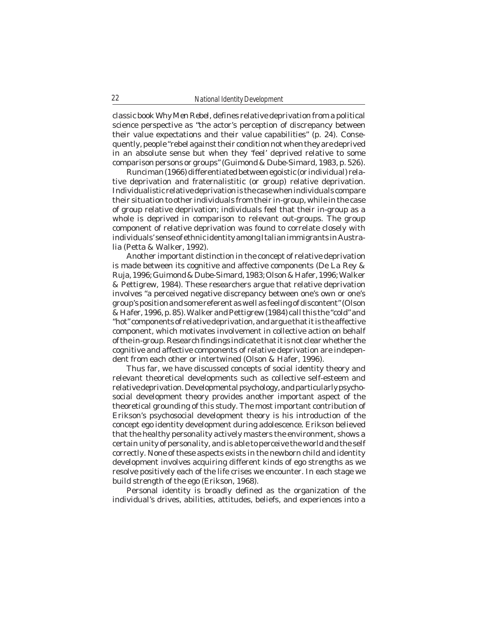classic book *Why Men Rebel*, defines relative deprivation from a political science perspective as "the actor's perception of discrepancy between their value expectations and their value capabilities" (p. 24). Consequently, people "rebel against their condition not when they are deprived in an absolute sense but when they 'feel' deprived relative to some comparison persons or groups" (Guimond & Dube-Simard, 1983, p. 526).

Runciman (1966) differentiated between egoistic (or individual) relative deprivation and fraternalistitic (or group) relative deprivation. Individualistic relative deprivation is the case when individuals compare their situation to other individuals from their in-group, while in the case of group relative deprivation; individuals feel that their in-group as a whole is deprived in comparison to relevant out-groups. The group component of relative deprivation was found to correlate closely with individuals' sense of ethnic identity among Italian immigrants in Australia (Petta & Walker, 1992).

Another important distinction in the concept of relative deprivation is made between its cognitive and affective components (De La Rey & Ruja, 1996; Guimond & Dube-Simard, 1983; Olson & Hafer, 1996; Walker & Pettigrew, 1984). These researchers argue that relative deprivation involves "a perceived negative discrepancy between one's own or one's group's position and some referent as well as feeling of discontent" (Olson & Hafer, 1996, p. 85). Walker and Pettigrew (1984) call this the "cold" and "hot" components of relative deprivation, and argue that it is the affective component, which motivates involvement in collective action on behalf of the in-group. Research findings indicate that it is not clear whether the cognitive and affective components of relative deprivation are independent from each other or intertwined (Olson & Hafer, 1996).

Thus far, we have discussed concepts of social identity theory and relevant theoretical developments such as collective self-esteem and relative deprivation. Developmental psychology, and particularly psychosocial development theory provides another important aspect of the theoretical grounding of this study. The most important contribution of Erikson's psychosocial development theory is his introduction of the concept ego identity development during adolescence. Erikson believed that the healthy personality actively masters the environment, shows a certain unity of personality, and is able to perceive the world and the self correctly. None of these aspects exists in the newborn child and identity development involves acquiring different kinds of ego strengths as we resolve positively each of the life crises we encounter. In each stage we build strength of the ego (Erikson, 1968).

Personal identity is broadly defined as the organization of the individual's drives, abilities, attitudes, beliefs, and experiences into a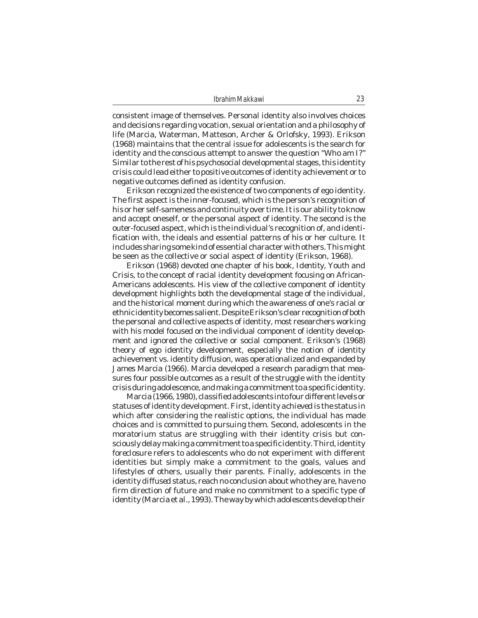consistent image of themselves. Personal identity also involves choices and decisions regarding vocation, sexual orientation and a philosophy of life (Marcia, Waterman, Matteson, Archer & Orlofsky, 1993). Erikson (1968) maintains that the central issue for adolescents is the search for identity and the conscious attempt to answer the question "Who am I?" Similar to the rest of his psychosocial developmental stages, this identity crisis could lead either to positive outcomes of identity achievement or to negative outcomes defined as identity confusion.

Erikson recognized the existence of two components of ego identity. The first aspect is the *inner-focused*, which is the person's recognition of his or her self-sameness and continuity over time. It is our ability to know and accept oneself, or the personal aspect of identity. The second is the *outer-focused* aspect, which is the individual's recognition of, and identification with, the ideals and essential patterns of his or her culture. It includes sharing some kind of essential character with others. This might be seen as the collective or social aspect of identity (Erikson, 1968).

Erikson (1968) devoted one chapter of his book, *Identity, Youth and Crisis*, to the concept of racial identity development focusing on African-Americans adolescents. His view of the collective component of identity development highlights both the developmental stage of the individual, and the historical moment during which the awareness of one's racial or ethnic identity becomes salient. Despite Erikson's clear recognition of both the personal and collective aspects of identity, most researchers working with his model focused on the individual component of identity development and ignored the collective or social component. Erikson's (1968) theory of ego identity development, especially the notion of identity achievement vs. identity diffusion, was operationalized and expanded by James Marcia (1966). Marcia developed a research paradigm that measures four possible outcomes as a result of the struggle with the identity crisis during adolescence, and making a commitment to a specific identity.

Marcia (1966, 1980), classified adolescents into four different levels or statuses of identity development. First, identity *achieved* is the status in which after considering the realistic options, the individual has made choices and is committed to pursuing them. Second, adolescents in the *moratorium* status are struggling with their identity crisis but consciously delay making a commitment to a specific identity. Third, identity *foreclosure* refers to adolescents who do not experiment with different identities but simply make a commitment to the goals, values and lifestyles of others, usually their parents. Finally, adolescents in the identity *diffused* status, reach no conclusion about who they are, have no firm direction of future and make no commitment to a specific type of identity (Marcia et al., 1993). The way by which adolescents develop their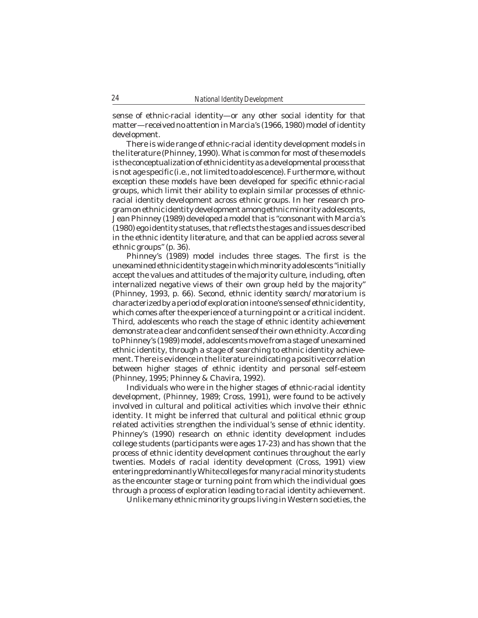sense of ethnic-racial identity—or any other social identity for that matter—received no attention in Marcia's (1966, 1980) model of identity development.

There is wide range of ethnic-racial identity development models in the literature (Phinney, 1990). What is common for most of these models is the conceptualization of ethnic identity as a developmental process that is not age specific (i.e., not limited to adolescence). Furthermore, without exception these models have been developed for specific ethnic-racial groups, which limit their ability to explain similar processes of ethnicracial identity development across ethnic groups. In her research program on ethnic identity development among ethnic minority adolescents, Jean Phinney (1989) developed a model that is "consonant with Marcia's (1980) ego identity statuses, that reflects the stages and issues described in the ethnic identity literature, and that can be applied across several ethnic groups" (p. 36).

Phinney's (1989) model includes three stages. The first is the *unexamined* ethnic identity stage in which minority adolescents "initially accept the values and attitudes of the majority culture, including, often internalized negative views of their own group held by the majority" (Phinney, 1993, p. 66). Second, ethnic identity *search/moratorium* is characterized by a period of exploration into one's sense of ethnic identity, which comes after the experience of a turning point or a critical incident. Third, adolescents who reach the stage of ethnic identity *achievement* demonstrate a clear and confident sense of their own ethnicity. According to Phinney's (1989) model, adolescents move from a stage of unexamined ethnic identity, through a stage of searching to ethnic identity achievement. There is evidence in the literature indicating a positive correlation between higher stages of ethnic identity and personal self-esteem (Phinney, 1995; Phinney & Chavira, 1992).

Individuals who were in the higher stages of ethnic-racial identity development, (Phinney, 1989; Cross, 1991), were found to be actively involved in cultural and political activities which involve their ethnic identity. It might be inferred that cultural and political ethnic group related activities strengthen the individual's sense of ethnic identity. Phinney's (1990) research on ethnic identity development includes college students (participants were ages 17-23) and has shown that the process of ethnic identity development continues throughout the early twenties. Models of racial identity development (Cross, 1991) view entering predominantly White colleges for many racial minority students as the encounter stage or turning point from which the individual goes through a process of exploration leading to racial identity achievement.

Unlike many ethnic minority groups living in Western societies, the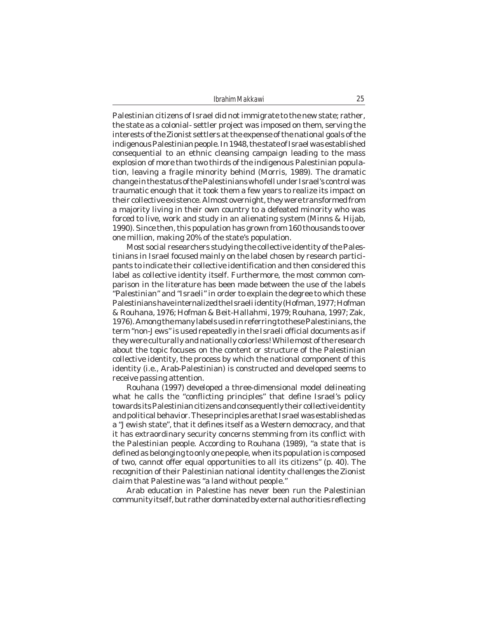*Ibrahim Makkawi* 25

Palestinian citizens of Israel did not immigrate to the new state; rather, the state as a colonial- settler project was imposed on them, serving the interests of the Zionist settlers at the expense of the national goals of the indigenous Palestinian people. In 1948, the state of Israel was established consequential to an ethnic cleansing campaign leading to the mass explosion of more than two thirds of the indigenous Palestinian population, leaving a fragile minority behind (Morris, 1989). The dramatic change in the status of the Palestinians who fell under Israel's control was traumatic enough that it took them a few years to realize its impact on their collective existence. Almost overnight, they were transformed from a majority living in their own country to a defeated minority who was forced to live, work and study in an alienating system (Minns & Hijab, 1990). Since then, this population has grown from 160 thousands to over one million, making 20% of the state's population.

Most social researchers studying the collective identity of the Palestinians in Israel focused mainly on the label chosen by research participants to indicate their collective identification and then considered this label as collective identity itself. Furthermore, the most common comparison in the literature has been made between the use of the labels "Palestinian" and "Israeli" in order to explain the degree to which these Palestinians have internalized the Israeli identity (Hofman, 1977; Hofman & Rouhana, 1976; Hofman & Beit-Hallahmi, 1979; Rouhana, 1997; Zak, 1976). Among the many labels used in referring to these Palestinians, the term "non-Jews" is used repeatedly in the Israeli official documents as if they were culturally and nationally colorless! While most of the research about the topic focuses on the content or structure of the Palestinian collective identity, the process by which the national component of this identity (i.e., Arab-Palestinian) is constructed and developed seems to receive passing attention.

Rouhana (1997) developed a three-dimensional model delineating what he calls the "conflicting principles" that define Israel's policy towards its Palestinian citizens and consequently their collective identity and political behavior. These principles are that Israel was established as a "Jewish state", that it defines itself as a Western democracy, and that it has extraordinary security concerns stemming from its conflict with the Palestinian people. According to Rouhana (1989), "a state that is defined as belonging to only one people, when its population is composed of two, cannot offer equal opportunities to all its citizens" (p. 40). The recognition of their Palestinian national identity challenges the Zionist claim that Palestine was "a land without people."

Arab education in Palestine has never been run the Palestinian community itself, but rather dominated by external authorities reflecting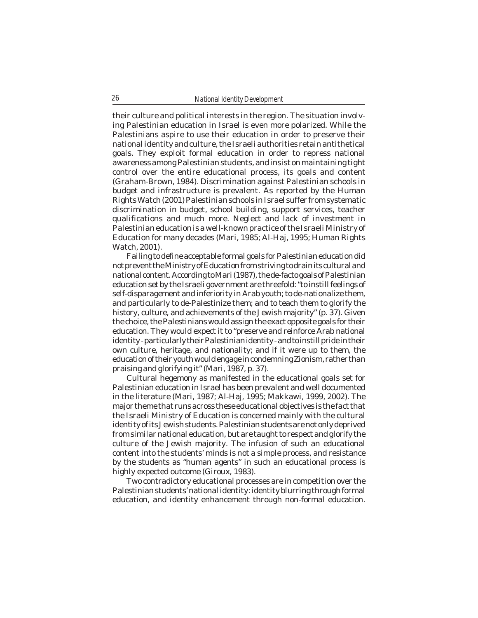their culture and political interests in the region. The situation involving Palestinian education in Israel is even more polarized. While the Palestinians aspire to use their education in order to preserve their national identity and culture, the Israeli authorities retain antithetical goals. They exploit formal education in order to repress national awareness among Palestinian students, and insist on maintaining tight control over the entire educational process, its goals and content (Graham-Brown, 1984). Discrimination against Palestinian schools in budget and infrastructure is prevalent. As reported by the Human Rights Watch (2001) Palestinian schools in Israel suffer from systematic discrimination in budget, school building, support services, teacher qualifications and much more. Neglect and lack of investment in Palestinian education is a well-known practice of the Israeli Ministry of Education for many decades (Mari, 1985; Al-Haj, 1995; Human Rights Watch, 2001).

Failing to define acceptable formal goals for Palestinian education did not prevent the Ministry of Education from striving to drain its cultural and national content. According to Mari (1987), the de-facto goals of Palestinian education set by the Israeli government are threefold: "to instill feelings of self-disparagement and inferiority in Arab youth; to de-nationalize them, and particularly to de-Palestinize them; and to teach them to glorify the history, culture, and achievements of the Jewish majority" (p. 37). Given the choice, the Palestinians would assign the exact opposite goals for their education. They would expect it to "preserve and reinforce Arab national identity - particularly their Palestinian identity - and to instill pride in their own culture, heritage, and nationality; and if it were up to them, the education of their youth would engage in condemning Zionism, rather than praising and glorifying it" (Mari, 1987, p. 37).

Cultural hegemony as manifested in the educational goals set for Palestinian education in Israel has been prevalent and well documented in the literature (Mari, 1987; Al-Haj, 1995; Makkawi, 1999, 2002). The major theme that runs across these educational objectives is the fact that the Israeli Ministry of Education is concerned mainly with the cultural identity of its Jewish students. Palestinian students are not only deprived from similar national education, but are taught to respect and glorify the culture of the Jewish majority. The infusion of such an educational content into the students' minds is not a simple process, and resistance by the students as "human agents" in such an educational process is highly expected outcome (Giroux, 1983).

Two contradictory educational processes are in competition over the Palestinian students' national identity: identity blurring through formal education, and identity enhancement through non-formal education.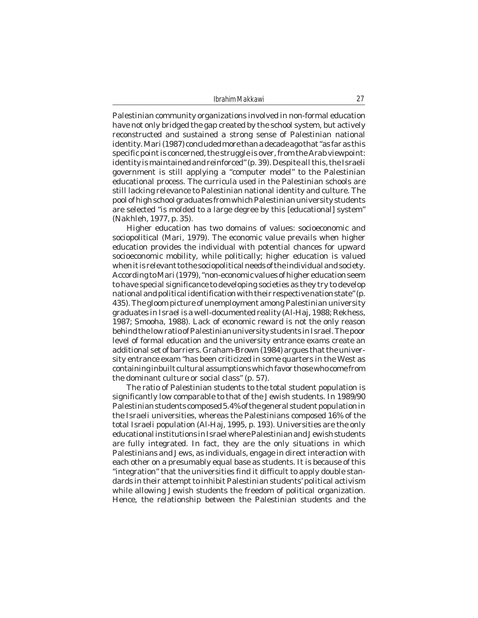*Ibrahim Makkawi* 27

Palestinian community organizations involved in non-formal education have not only bridged the gap created by the school system, but actively reconstructed and sustained a strong sense of Palestinian national identity. Mari (1987) concluded more than a decade ago that "as far as this specific point is concerned, the struggle is over, from the Arab viewpoint: identity is maintained and reinforced" (p. 39). Despite all this, the Israeli government is still applying a "computer model" to the Palestinian educational process. The curricula used in the Palestinian schools are still lacking relevance to Palestinian national identity and culture. The pool of high school graduates from which Palestinian university students are selected "is molded to a large degree by this [educational] system" (Nakhleh, 1977, p. 35).

Higher education has two domains of values: socioeconomic and sociopolitical (Mari, 1979). The economic value prevails when higher education provides the individual with potential chances for upward socioeconomic mobility, while politically; higher education is valued when it is relevant to the sociopolitical needs of the individual and society. According to Mari (1979), "non-economic values of higher education seem to have special significance to developing societies as they try to develop national and political identification with their respective nation state" (p. 435). The gloom picture of unemployment among Palestinian university graduates in Israel is a well-documented reality (Al-Haj, 1988; Rekhess, 1987; Smooha, 1988). Lack of economic reward is not the only reason behind the low ratio of Palestinian university students in Israel. The poor level of formal education and the university entrance exams create an additional set of barriers. Graham-Brown (1984) argues that the university entrance exam "has been criticized in some quarters in the West as containing inbuilt cultural assumptions which favor those who come from the dominant culture or social class" (p. 57).

The ratio of Palestinian students to the total student population is significantly low comparable to that of the Jewish students. In 1989/90 Palestinian students composed 5.4% of the general student population in the Israeli universities, whereas the Palestinians composed 16% of the total Israeli population (Al-Haj, 1995, p. 193). Universities are the only educational institutions in Israel where Palestinian and Jewish students are fully integrated. In fact, they are the only situations in which Palestinians and Jews, as individuals, engage in direct interaction with each other on a presumably equal base as students. It is because of this "integration" that the universities find it difficult to apply double standards in their attempt to inhibit Palestinian students' political activism while allowing Jewish students the freedom of political organization. Hence, the relationship between the Palestinian students and the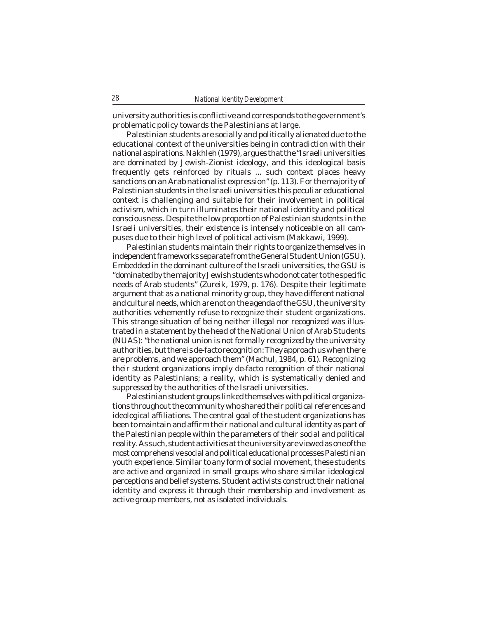university authorities is conflictive and corresponds to the government's problematic policy towards the Palestinians at large.

Palestinian students are socially and politically alienated due to the educational context of the universities being in contradiction with their national aspirations. Nakhleh (1979), argues that the "Israeli universities are dominated by Jewish-Zionist ideology, and this ideological basis frequently gets reinforced by rituals ... such context places heavy sanctions on an Arab nationalist expression" (p. 113). For the majority of Palestinian students in the Israeli universities this peculiar educational context is challenging and suitable for their involvement in political activism, which in turn illuminates their national identity and political consciousness. Despite the low proportion of Palestinian students in the Israeli universities, their existence is intensely noticeable on all campuses due to their high level of political activism (Makkawi, 1999).

Palestinian students maintain their rights to organize themselves in independent frameworks separate from the General Student Union (GSU). Embedded in the dominant culture of the Israeli universities, the GSU is "dominated by the majority Jewish students who do not cater to the specific needs of Arab students" (Zureik, 1979, p. 176). Despite their legitimate argument that as a national minority group, they have different national and cultural needs, which are not on the agenda of the GSU, the university authorities vehemently refuse to recognize their student organizations. This strange situation of being neither illegal nor recognized was illustrated in a statement by the head of the National Union of Arab Students (NUAS): "the national union is not formally recognized by the university authorities, but there is de-facto recognition: They approach us when there are problems, and we approach them" (Machul, 1984, p. 61). Recognizing their student organizations imply de-facto recognition of their national identity as Palestinians; a reality, which is systematically denied and suppressed by the authorities of the Israeli universities.

Palestinian student groups linked themselves with political organizations throughout the community who shared their political references and ideological affiliations. The central goal of the student organizations has been to maintain and affirm their national and cultural identity as part of the Palestinian people within the parameters of their social and political reality. As such, student activities at the university are viewed as one of the most comprehensive social and political educational processes Palestinian youth experience. Similar to any form of social movement, these students are active and organized in small groups who share similar ideological perceptions and belief systems. Student activists construct their national identity and express it through their membership and involvement as active group members, not as isolated individuals.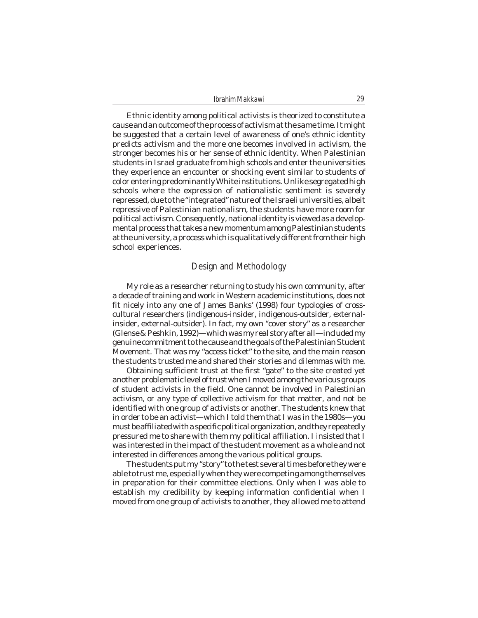| Ibrahim Makkawi |  |
|-----------------|--|
|-----------------|--|

Ethnic identity among political activists is theorized to constitute a cause and an outcome of the process of activism at the same time. It might be suggested that a certain level of awareness of one's ethnic identity predicts activism and the more one becomes involved in activism, the stronger becomes his or her sense of ethnic identity. When Palestinian students in Israel graduate from high schools and enter the universities they experience an encounter or shocking event similar to students of color entering predominantly White institutions. Unlike segregated high schools where the expression of nationalistic sentiment is severely repressed, due to the "integrated" nature of the Israeli universities, albeit repressive of Palestinian nationalism, the students have more room for political activism. Consequently, national identity is viewed as a developmental process that takes a new momentum among Palestinian students at the university, a process which is qualitatively different from their high school experiences.

# Design and Methodology

My role as a researcher returning to study his own community, after a decade of training and work in Western academic institutions, does not fit nicely into any one of James Banks' (1998) four typologies of crosscultural researchers (indigenous-insider, indigenous-outsider, externalinsider, external-outsider). In fact, my own "cover story" as a researcher (Glense & Peshkin, 1992)—which was my real story after all—included my genuine commitment to the cause and the goals of the Palestinian Student Movement. That was my "access ticket" to the site, and the main reason the students trusted me and shared their stories and dilemmas with me.

Obtaining sufficient trust at the first "gate" to the site created yet another problematic level of trust when I moved among the various groups of student activists in the field. One cannot be involved in Palestinian activism, or any type of collective activism for that matter, and not be identified with one group of activists or another. The students knew that in order to be an activist—which I told them that I was in the 1980s—you must be affiliated with a specific political organization, and they repeatedly pressured me to share with them my political affiliation. I insisted that I was interested in the impact of the student movement as a whole and not interested in differences among the various political groups.

The students put my "story" to the test several times before they were able to trust me, especially when they were competing among themselves in preparation for their committee elections. Only when I was able to establish my credibility by keeping information confidential when I moved from one group of activists to another, they allowed me to attend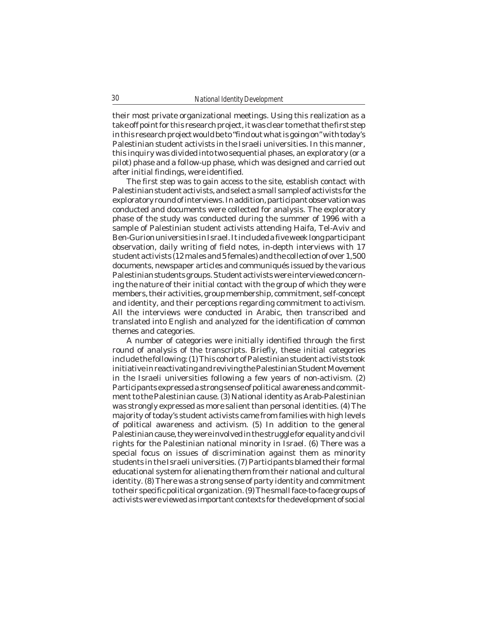their most private organizational meetings. Using this realization as a take off point for this research project, it was clear to me that the first step in this research project would be to "find out what is going on" with today's Palestinian student activists in the Israeli universities. In this manner, this inquiry was divided into two sequential phases, an exploratory (or a pilot) phase and a follow-up phase, which was designed and carried out after initial findings, were identified.

The first step was to gain access to the site, establish contact with Palestinian student activists, and select a small sample of activists for the exploratory round of interviews. In addition, participant observation was conducted and documents were collected for analysis. The exploratory phase of the study was conducted during the summer of 1996 with a sample of Palestinian student activists attending Haifa, Tel-Aviv and Ben-Gurion universities in Israel. It included a five week long participant observation, daily writing of field notes, in-depth interviews with 17 student activists (12 males and 5 females) and the collection of over 1,500 documents, newspaper articles and communiqués issued by the various Palestinian students groups. Student activists were interviewed concerning the nature of their initial contact with the group of which they were members, their activities, group membership, commitment, self-concept and identity, and their perceptions regarding commitment to activism. All the interviews were conducted in Arabic, then transcribed and translated into English and analyzed for the identification of common themes and categories.

A number of categories were initially identified through the first round of analysis of the transcripts. Briefly, these initial categories include the following: (1) This cohort of Palestinian student activists took initiative in reactivating and reviving the Palestinian Student Movement in the Israeli universities following a few years of non-activism. (2) Participants expressed a strong sense of political awareness and commitment to the Palestinian cause. (3) National identity as Arab-Palestinian was strongly expressed as more salient than personal identities. (4) The majority of today's student activists came from families with high levels of political awareness and activism. (5) In addition to the general Palestinian cause, they were involved in the struggle for equality and civil rights for the Palestinian national minority in Israel. (6) There was a special focus on issues of discrimination against them as minority students in the Israeli universities. (7) Participants blamed their formal educational system for alienating them from their national and cultural identity. (8) There was a strong sense of party identity and commitment to their specific political organization. (9) The small face-to-face groups of activists were viewed as important contexts for the development of social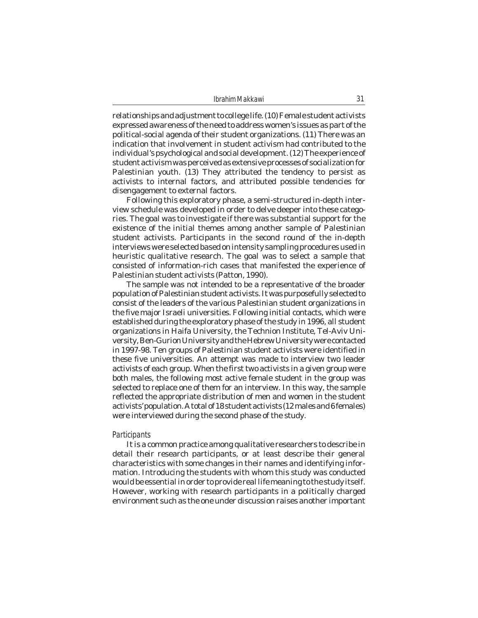relationships and adjustment to college life. (10) Female student activists expressed awareness of the need to address women's issues as part of the political-social agenda of their student organizations. (11) There was an indication that involvement in student activism had contributed to the individual's psychological and social development. (12) The experience of student activism was perceived as extensive processes of socialization for Palestinian youth. (13) They attributed the tendency to persist as activists to internal factors, and attributed possible tendencies for disengagement to external factors.

Following this exploratory phase, a semi-structured in-depth interview schedule was developed in order to delve deeper into these categories. The goal was to investigate if there was substantial support for the existence of the initial themes among another sample of Palestinian student activists. Participants in the second round of the in-depth interviews were selected based on intensity sampling procedures used in heuristic qualitative research. The goal was to select a sample that consisted of information-rich cases that manifested the experience of Palestinian student activists (Patton, 1990).

The sample was not intended to be a representative of the broader population of Palestinian student activists. It was purposefully selected to consist of the leaders of the various Palestinian student organizations in the five major Israeli universities. Following initial contacts, which were established during the exploratory phase of the study in 1996, all student organizations in Haifa University, the Technion Institute, Tel-Aviv University, Ben-Gurion University and the Hebrew University were contacted in 1997-98. Ten groups of Palestinian student activists were identified in these five universities. An attempt was made to interview two leader activists of each group. When the first two activists in a given group were both males, the following most active female student in the group was selected to replace one of them for an interview. In this way, the sample reflected the appropriate distribution of men and women in the student activists' population. A total of 18 student activists (12 males and 6 females) were interviewed during the second phase of the study.

#### *Participants*

It is a common practice among qualitative researchers to describe in detail their research participants, or at least describe their general characteristics with some changes in their names and identifying information. Introducing the students with whom this study was conducted would be essential in order to provide real life meaning to the study itself. However, working with research participants in a politically charged environment such as the one under discussion raises another important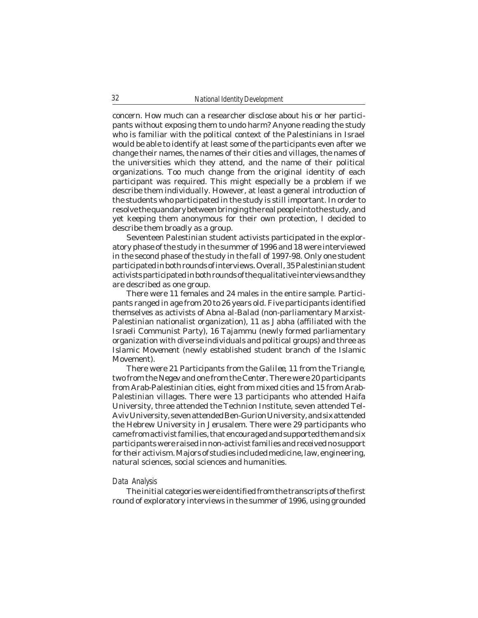concern. How much can a researcher disclose about his or her participants without exposing them to undo harm? Anyone reading the study who is familiar with the political context of the Palestinians in Israel would be able to identify at least some of the participants even after we change their names, the names of their cities and villages, the names of the universities which they attend, and the name of their political organizations. Too much change from the original identity of each participant was required. This might especially be a problem if we describe them individually. However, at least a general introduction of the students who participated in the study is still important. In order to resolve the quandary between bringing the real people into the study, and yet keeping them anonymous for their own protection, I decided to describe them broadly as a group.

Seventeen Palestinian student activists participated in the exploratory phase of the study in the summer of 1996 and 18 were interviewed in the second phase of the study in the fall of 1997-98. Only one student participated in both rounds of interviews. Overall, 35 Palestinian student activists participated in both rounds of the qualitative interviews and they are described as one group.

There were 11 females and 24 males in the entire sample. Participants ranged in age from 20 to 26 years old. Five participants identified themselves as activists of *Abna al-Balad* (non-parliamentary Marxist-Palestinian nationalist organization), 11 as *Jabha* (affiliated with the Israeli Communist Party), 16 *Tajammu* (newly formed parliamentary organization with diverse individuals and political groups) and three as *Islamic Movement* (newly established student branch of the Islamic Movement).

There were 21 Participants from the *Galilee*, 11 from the *Triangle*, two from the *Negev* and one from the *Center*. There were 20 participants from Arab-Palestinian cities, eight from mixed cities and 15 from Arab-Palestinian villages. There were 13 participants who attended Haifa University, three attended the Technion Institute, seven attended Tel-Aviv University, seven attended Ben-Gurion University, and six attended the Hebrew University in Jerusalem. There were 29 participants who came from activist families, that encouraged and supported them and six participants were raised in non-activist families and received no support for their activism. Majors of studies included medicine, law, engineering, natural sciences, social sciences and humanities.

#### *Data Analysis*

The initial categories were identified from the transcripts of the first round of exploratory interviews in the summer of 1996, using grounded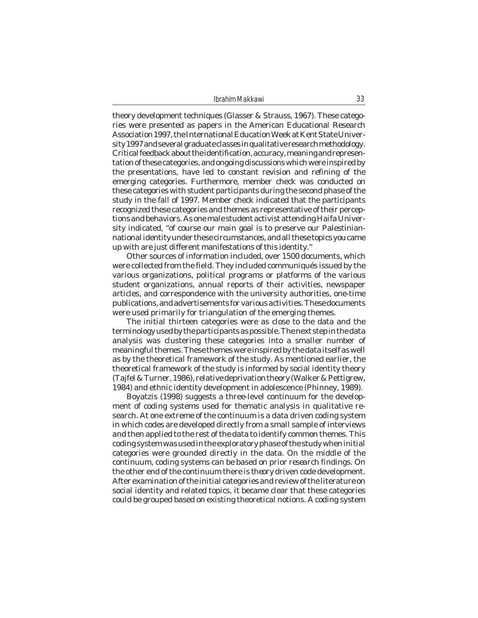*Ibrahim Makkawi* 33

theory development techniques (Glasser & Strauss, 1967). These categories were presented as papers in the American Educational Research Association 1997, the International Education Week at Kent State University 1997 and several graduate classes in qualitative research methodology. Critical feedback about the identification, accuracy, meaning and representation of these categories, and ongoing discussions which were inspired by the presentations, have led to constant revision and refining of the emerging categories. Furthermore, member check was conducted on these categories with student participants during the second phase of the study in the fall of 1997. Member check indicated that the participants recognized these categories and themes as representative of their perceptions and behaviors. As one male student activist attending Haifa University indicated, "of course our main goal is to preserve our Palestiniannational identity under these circumstances, and all these topics you came up with are just different manifestations of this identity."

Other sources of information included, over 1500 documents, which were collected from the field. They included communiqués issued by the various organizations, political programs or platforms of the various student organizations, annual reports of their activities, newspaper articles, and correspondence with the university authorities, one-time publications, and advertisements for various activities. These documents were used primarily for triangulation of the emerging themes.

The initial thirteen categories were as close to the data and the terminology used by the participants as possible. The next step in the data analysis was clustering these categories into a smaller number of meaningful themes. These themes were inspired by the data itself as well as by the theoretical framework of the study. As mentioned earlier, the theoretical framework of the study is informed by social identity theory (Tajfel & Turner, 1986), relative deprivation theory (Walker & Pettigrew, 1984) and ethnic identity development in adolescence (Phinney, 1989).

Boyatzis (1998) suggests a three-level continuum for the development of coding systems used for thematic analysis in qualitative research. At one extreme of the continuum is a *data* driven coding system in which codes are developed directly from a small sample of interviews and then applied to the rest of the data to identify common themes. This coding system was used in the exploratory phase of the study when initial categories were grounded directly in the data. On the middle of the continuum, coding systems can be based on prior *research* findings. On the other end of the continuum there is *theory* driven code development. After examination of the initial categories and review of the literature on social identity and related topics, it became clear that these categories could be grouped based on existing theoretical notions. A coding system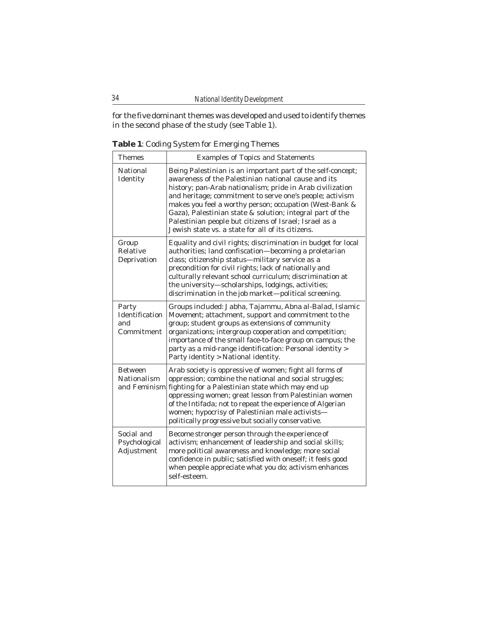for the five dominant themes was developed and used to identify themes in the second phase of the study (see Table 1).

**Table 1**: Coding System for Emerging Themes

| <b>Themes</b>                                        | <b>Examples of Topics and Statements</b>                                                                                                                                                                                                                                                                                                                                                                                                                                           |
|------------------------------------------------------|------------------------------------------------------------------------------------------------------------------------------------------------------------------------------------------------------------------------------------------------------------------------------------------------------------------------------------------------------------------------------------------------------------------------------------------------------------------------------------|
| National<br>Identity                                 | Being Palestinian is an important part of the self-concept;<br>awareness of the Palestinian national cause and its<br>history; pan-Arab nationalism; pride in Arab civilization<br>and heritage; commitment to serve one's people; activism<br>makes you feel a worthy person; occupation (West-Bank &<br>Gaza), Palestinian state & solution; integral part of the<br>Palestinian people but citizens of Israel; Israel as a<br>Jewish state vs. a state for all of its citizens. |
| Group<br>Relative<br>Deprivation                     | Equality and civil rights; discrimination in budget for local<br>authorities; land confiscation-becoming a proletarian<br>class; citizenship status-military service as a<br>precondition for civil rights; lack of nationally and<br>culturally relevant school curriculum; discrimination at<br>the university-scholarships, lodgings, activities;<br>discrimination in the job market-political screening.                                                                      |
| Party<br>Identification<br>and<br>Commitment         | Groups included: Jabha, Tajammu, Abna al-Balad, Islamic<br>Movement; attachment, support and commitment to the<br>group; student groups as extensions of community<br>organizations; intergroup cooperation and competition;<br>importance of the small face-to-face group on campus; the<br>party as a mid-range identification: Personal identity ><br>Party identity > National identity.                                                                                       |
| <b>Between</b><br><b>Nationalism</b><br>and Feminism | Arab society is oppressive of women; fight all forms of<br>oppression; combine the national and social struggles;<br>fighting for a Palestinian state which may end up<br>oppressing women; great lesson from Palestinian women<br>of the Intifada; not to repeat the experience of Algerian<br>women; hypocrisy of Palestinian male activists-<br>politically progressive but socially conservative.                                                                              |
| Social and<br>Psychological<br>Adjustment            | Become stronger person through the experience of<br>activism; enhancement of leadership and social skills;<br>more political awareness and knowledge; more social<br>confidence in public; satisfied with oneself; it feels good<br>when people appreciate what you do; activism enhances<br>self-esteem.                                                                                                                                                                          |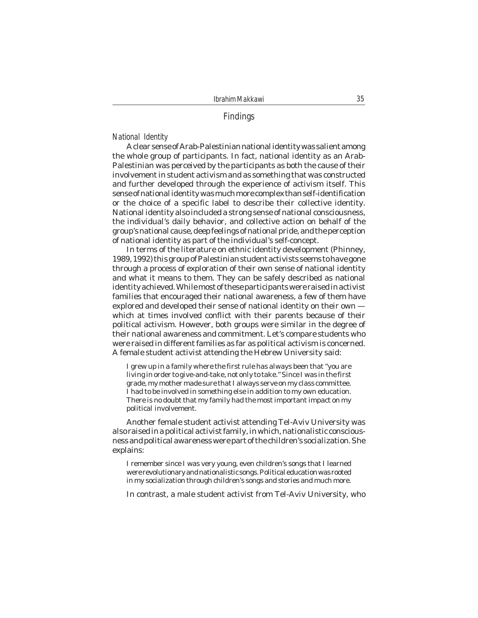# Findings

### *National Identity*

A clear sense of Arab-Palestinian national identity was salient among the whole group of participants. In fact, national identity as an Arab-Palestinian was perceived by the participants as both the cause of their involvement in student activism and as something that was constructed and further developed through the experience of activism itself. This sense of national identity was much more complex than self-identification or the choice of a specific label to describe their collective identity. National identity also included a strong sense of national consciousness, the individual's daily behavior, and collective action on behalf of the group's national cause, deep feelings of national pride, and the perception of national identity as part of the individual's self-concept.

In terms of the literature on ethnic identity development (Phinney, 1989, 1992) this group of Palestinian student activists seems to have gone through a process of exploration of their own sense of national identity and what it means to them. They can be safely described as national identity achieved. While most of these participants were raised in activist families that encouraged their national awareness, a few of them have explored and developed their sense of national identity on their own which at times involved conflict with their parents because of their political activism. However, both groups were similar in the degree of their national awareness and commitment. Let's compare students who were raised in different families as far as political activism is concerned. A female student activist attending the Hebrew University said:

I grew up in a family where the first rule has always been that "you are living in order to give-and-take, not only to take." Since I was in the first grade, my mother made sure that I always serve on my class committee. I had to be involved in something else in addition to my own education. There is no doubt that my family had the most important impact on my political involvement.

Another female student activist attending Tel-Aviv University was also raised in a political activist family, in which, nationalistic consciousness and political awareness were part of the children's socialization. She explains:

I remember since I was very young, even children's songs that I learned were revolutionary and nationalistic songs. Political education was rooted in my socialization through children's songs and stories and much more.

In contrast, a male student activist from Tel-Aviv University, who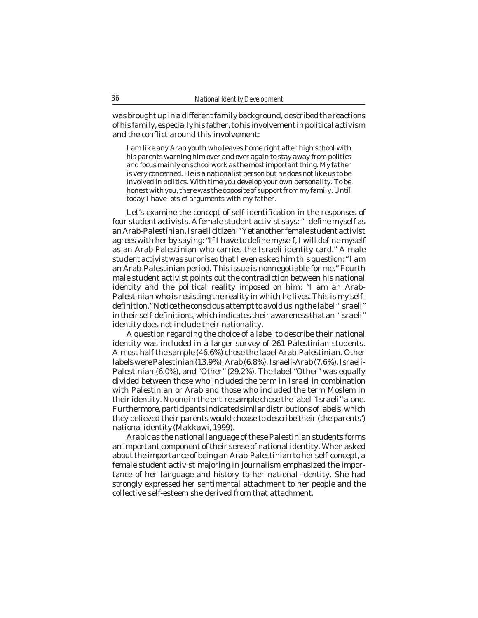was brought up in a different family background, described the reactions of his family, especially his father, to his involvement in political activism and the conflict around this involvement:

I am like any Arab youth who leaves home right after high school with his parents warning him over and over again to stay away from politics and focus mainly on school work as the most important thing. My father is very concerned. He is a nationalist person but he does not like us to be involved in politics. With time you develop your own personality. To be honest with you, there was the opposite of support from my family. Until today I have lots of arguments with my father.

Let's examine the concept of self-identification in the responses of four student activists. A female student activist says: "I define myself as an Arab-Palestinian, Israeli citizen." Yet another female student activist agrees with her by saying: "If I have to define myself, I will define myself as an Arab-Palestinian who carries the Israeli identity card." A male student activist was surprised that I even asked him this question: " I am an Arab-Palestinian period. This issue is nonnegotiable for me." Fourth male student activist points out the contradiction between his national identity and the political reality imposed on him: "I am an Arab-Palestinian who is resisting the reality in which he lives. This is my selfdefinition." Notice the conscious attempt to avoid using the label "Israeli" in their self-definitions, which indicates their awareness that an "Israeli" identity does not include their nationality.

A question regarding the choice of a label to describe their national identity was included in a larger survey of 261 Palestinian students. Almost half the sample (46.6%) chose the label Arab-Palestinian. Other labels were Palestinian (13.9%), Arab (6.8%), Israeli-Arab (7.6%), Israeli-Palestinian (6.0%), and "Other" (29.2%). The label "Other" was equally divided between those who included the term *in Israel* in combination with Palestinian or Arab and those who included the term Moslem in their identity. No one in the entire sample chose the label "Israeli" alone. Furthermore, participants indicated similar distributions of labels, which they believed their parents would choose to describe their (the parents') national identity (Makkawi, 1999).

Arabic as the national language of these Palestinian students forms an important component of their sense of national identity. When asked about the importance of being an Arab-Palestinian to her self-concept, a female student activist majoring in journalism emphasized the importance of her language and history to her national identity. She had strongly expressed her sentimental attachment to her people and the collective self-esteem she derived from that attachment.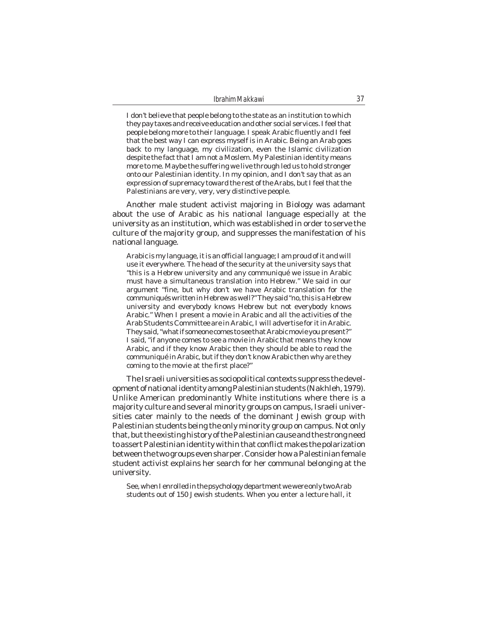I don't believe that people belong to the state as an institution to which they pay taxes and receive education and other social services. I feel that people belong more to their language. I speak Arabic fluently and I feel that the best way I can express myself is in Arabic. Being an Arab goes back to my language, my civilization, even the Islamic civilization despite the fact that I am not a Moslem. My Palestinian identity means more to me. Maybe the suffering we live through led us to hold stronger onto our Palestinian identity. In my opinion, and I don't say that as an expression of supremacy toward the rest of the Arabs, but I feel that the Palestinians are very, very, very distinctive people.

Another male student activist majoring in Biology was adamant about the use of Arabic as his national language especially at the university as an institution, which was established in order to serve the culture of the majority group, and suppresses the manifestation of his national language.

Arabic is my language, it is an official language; I am proud of it and will use it everywhere. The head of the security at the university says that "this is a Hebrew university and any communiqué we issue in Arabic must have a simultaneous translation into Hebrew." We said in our argument "fine, but why don't we have Arabic translation for the communiqués written in Hebrew as well?" They said "no, this is a Hebrew university and everybody knows Hebrew but not everybody knows Arabic." When I present a movie in Arabic and all the activities of the Arab Students Committee are in Arabic, I will advertise for it in Arabic. They said, "what if someone comes to see that Arabic movie you present?" I said, "if anyone comes to see a movie in Arabic that means they know Arabic, and if they know Arabic then they should be able to read the communiqué in Arabic, but if they don't know Arabic then why are they coming to the movie at the first place?"

The Israeli universities as sociopolitical contexts suppress the development of national identity among Palestinian students (Nakhleh, 1979). Unlike American predominantly White institutions where there is a majority culture and several minority groups on campus, Israeli universities cater mainly to the needs of the dominant Jewish group with Palestinian students being the only minority group on campus. Not only that, but the existing history of the Palestinian cause and the strong need to assert Palestinian identity within that conflict makes the polarization between the two groups even sharper. Consider how a Palestinian female student activist explains her search for her communal belonging at the university.

See, when I enrolled in the psychology department we were only two Arab students out of 150 Jewish students. When you enter a lecture hall, it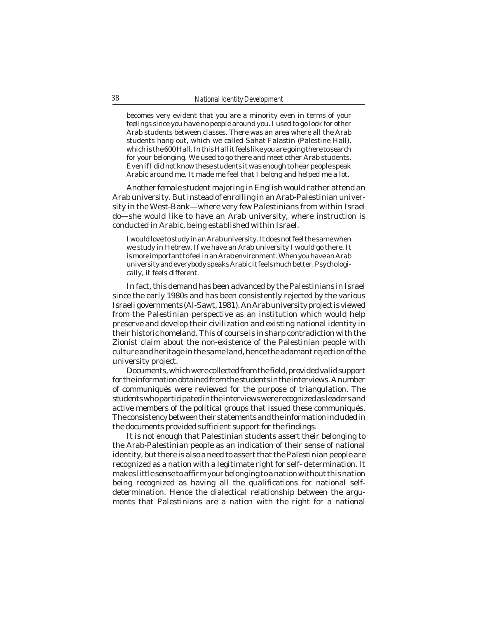becomes very evident that you are a minority even in terms of your feelings since you have no people around you. I used to go look for other Arab students between classes. There was an area where all the Arab students hang out, which we called *Sahat Falastin* (Palestine Hall), which is the 600 Hall. In this Hall it feels like you are going there to search for your belonging. We used to go there and meet other Arab students. Even if I did not know these students it was enough to hear people speak Arabic around me. It made me feel that I belong and helped me a lot.

Another female student majoring in English would rather attend an Arab university. But instead of enrolling in an Arab-Palestinian university in the West-Bank—where very few Palestinians from within Israel do—she would like to have an Arab university, where instruction is conducted in Arabic, being established within Israel.

I would love to study in an Arab university. It does not feel the same when we study in Hebrew. If we have an Arab university I would go there. It is more important to feel in an Arab environment. When you have an Arab university and everybody speaks Arabic it feels much better. Psychologically, it feels different.

In fact, this demand has been advanced by the Palestinians in Israel since the early 1980s and has been consistently rejected by the various Israeli governments (Al-Sawt, 1981). An Arab university project is viewed from the Palestinian perspective as an institution which would help preserve and develop their civilization and existing national identity in their historic homeland. This of course is in sharp contradiction with the Zionist claim about the non-existence of the Palestinian people with culture and heritage in the same land, hence the adamant rejection of the university project.

Documents, which were collected from the field, provided valid support for the information obtained from the students in the interviews. A number of communiqués were reviewed for the purpose of triangulation. The students who participated in the interviews were recognized as leaders and active members of the political groups that issued these communiqués. The consistency between their statements and the information included in the documents provided sufficient support for the findings.

It is not enough that Palestinian students assert their belonging to the Arab-Palestinian people as an indication of their sense of national identity, but there is also a need to assert that the Palestinian people are recognized as a nation with a legitimate right for self- determination. It makes little sense to affirm your belonging to a nation without this nation being recognized as having all the qualifications for national selfdetermination. Hence the dialectical relationship between the arguments that Palestinians are a nation with the right for a national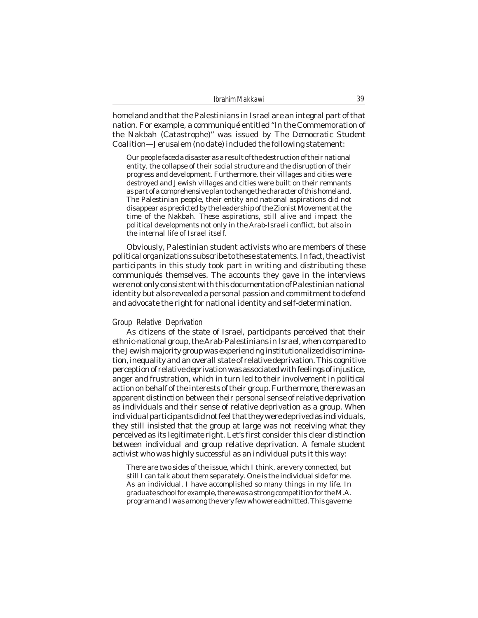homeland and that the Palestinians in Israel are an integral part of that nation. For example, a communiqué entitled "In the Commemoration of the *Nakbah* (Catastrophe)" was issued by *The Democratic Student Coalition*—Jerusalem (no date) included the following statement:

Our people faced a disaster as a result of the destruction of their national entity, the collapse of their social structure and the disruption of their progress and development. Furthermore, their villages and cities were destroyed and Jewish villages and cities were built on their remnants as part of a comprehensive plan to change the character of this homeland. The Palestinian people, their entity and national aspirations did not disappear as predicted by the leadership of the Zionist Movement at the time of the *Nakbah*. These aspirations, still alive and impact the political developments not only in the Arab-Israeli conflict, but also in the internal life of Israel itself.

Obviously, Palestinian student activists who are members of these political organizations subscribe to these statements. In fact, the activist participants in this study took part in writing and distributing these communiqués themselves. The accounts they gave in the interviews were not only consistent with this documentation of Palestinian national identity but also revealed a personal passion and commitment to defend and advocate the right for national identity and self-determination.

#### *Group Relative Deprivation*

As citizens of the state of Israel, participants perceived that their ethnic-national group, the Arab-Palestinians in Israel, when compared to the Jewish majority group was experiencing institutionalized discrimination, inequality and an overall state of relative deprivation. This cognitive perception of relative deprivation was associated with feelings of injustice, anger and frustration, which in turn led to their involvement in political action on behalf of the interests of their group. Furthermore, there was an apparent distinction between their personal sense of relative deprivation as individuals and their sense of relative deprivation as a group. When individual participants did not feel that they were deprived as individuals, they still insisted that the group at large was not receiving what they perceived as its legitimate right. Let's first consider this clear distinction between individual and group relative deprivation. A female student activist who was highly successful as an individual puts it this way:

There are two sides of the issue, which I think, are very connected, but still I can talk about them separately. One is the individual side for me. As an individual, I have accomplished so many things in my life. In graduate school for example, there was a strong competition for the M.A. program and I was among the very few who were admitted. This gave me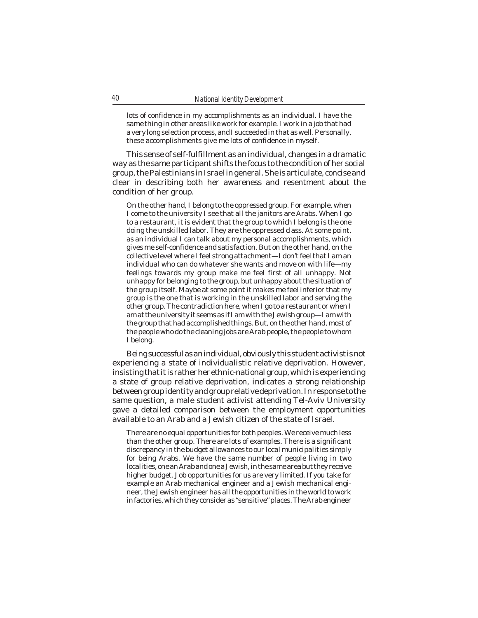lots of confidence in my accomplishments as an individual. I have the same thing in other areas like work for example. I work in a job that had a very long selection process, and I succeeded in that as well. Personally, these accomplishments give me lots of confidence in myself.

This sense of self-fulfillment as an individual, changes in a dramatic way as the same participant shifts the focus to the condition of her social group, the Palestinians in Israel in general. She is articulate, concise and clear in describing both her awareness and resentment about the condition of her group.

On the other hand, I belong to the oppressed group. For example, when I come to the university I see that all the janitors are Arabs. When I go to a restaurant, it is evident that the group to which I belong is the one doing the unskilled labor. They are the oppressed class. At some point, as an individual I can talk about my personal accomplishments, which gives me self-confidence and satisfaction. But on the other hand, on the collective level where I feel strong attachment—I don't feel that I am an individual who can do whatever she wants and move on with life—my feelings towards my group make me feel first of all unhappy. Not unhappy for belonging to the group, but unhappy about the situation of the group itself. Maybe at some point it makes me feel inferior that my group is the one that is working in the unskilled labor and serving the other group. The contradiction here, when I go to a restaurant or when I am at the university it seems as if I am with the Jewish group—I am with the group that had accomplished things. But, on the other hand, most of the people who do the cleaning jobs are Arab people, the people to whom I belong.

Being successful as an individual, obviously this student activist is not experiencing a state of individualistic relative deprivation. However, insisting that it is rather her ethnic-national group, which is experiencing a state of group relative deprivation, indicates a strong relationship between group identity and group relative deprivation. In response to the same question, a male student activist attending Tel-Aviv University gave a detailed comparison between the employment opportunities available to an Arab and a Jewish citizen of the state of Israel.

There are no equal opportunities for both peoples. We receive much less than the other group. There are lots of examples. There is a significant discrepancy in the budget allowances to our local municipalities simply for being Arabs. We have the same number of people living in two localities, one an Arab and one a Jewish, in the same area but they receive higher budget. Job opportunities for us are very limited. If you take for example an Arab mechanical engineer and a Jewish mechanical engineer, the Jewish engineer has all the opportunities in the world to work in factories, which they consider as "sensitive" places. The Arab engineer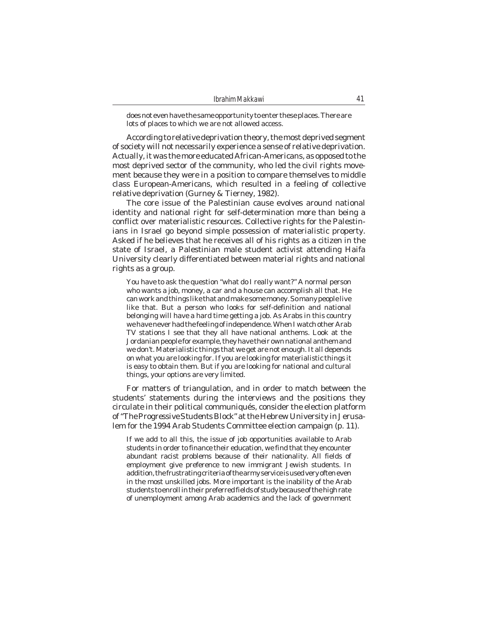does not even have the same opportunity to enter these places. There are lots of places to which we are not allowed access.

According to relative deprivation theory, the most deprived segment of society will not necessarily experience a sense of relative deprivation. Actually, it was the more educated African-Americans, as opposed to the most deprived sector of the community, who led the civil rights movement because they were in a position to compare themselves to middle class European-Americans, which resulted in a feeling of collective relative deprivation (Gurney & Tierney, 1982).

The core issue of the Palestinian cause evolves around national identity and national right for self-determination more than being a conflict over materialistic resources. Collective rights for the Palestinians in Israel go beyond simple possession of materialistic property. Asked if he believes that he receives all of his rights as a citizen in the state of Israel, a Palestinian male student activist attending Haifa University clearly differentiated between material rights and national rights as a group.

You have to ask the question "what do I really want?" A normal person who wants a job, money, a car and a house can accomplish all that. He can work and things like that and make some money. So many people live like that. But a person who looks for self-definition and national belonging will have a hard time getting a job. As Arabs in this country we have never had the feeling of independence. When I watch other Arab TV stations I see that they all have national anthems. Look at the Jordanian people for example, they have their own national anthem and we don't. Materialistic things that we get are not enough. It all depends on what you are looking for. If you are looking for materialistic things it is easy to obtain them. But if you are looking for national and cultural things, your options are very limited.

For matters of triangulation, and in order to match between the students' statements during the interviews and the positions they circulate in their political communiqués, consider the election platform of "*The Progressive Students Block*" at the Hebrew University in Jerusalem for the 1994 Arab Students Committee election campaign (p. 11).

If we add to all this, the issue of job opportunities available to Arab students in order to finance their education, we find that they encounter abundant racist problems because of their nationality. All fields of employment give preference to new immigrant Jewish students. In addition, the frustrating criteria of the army service is used very often even in the most unskilled jobs. More important is the inability of the Arab students to enroll in their preferred fields of study because of the high rate of unemployment among Arab academics and the lack of government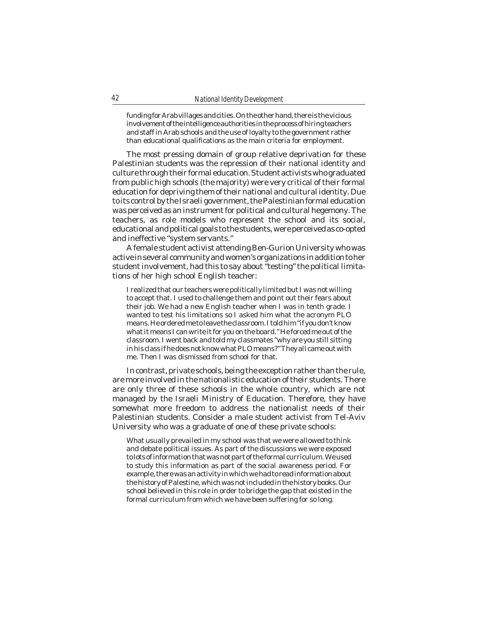funding for Arab villages and cities. On the other hand, there is the vicious involvement of the intelligence authorities in the process of hiring teachers and staff in Arab schools and the use of loyalty to the government rather than educational qualifications as the main criteria for employment.

The most pressing domain of group relative deprivation for these Palestinian students was the repression of their national identity and culture through their formal education. Student activists who graduated from public high schools (the majority) were very critical of their formal education for depriving them of their national and cultural identity. Due to its control by the Israeli government, the Palestinian formal education was perceived as an instrument for political and cultural hegemony. The teachers, as role models who represent the school and its social, educational and political goals to the students, were perceived as co-opted and ineffective "system servants."

A female student activist attending Ben-Gurion University who was active in several community and women's organizations in addition to her student involvement, had this to say about "testing" the political limitations of her high school English teacher:

I realized that our teachers were politically limited but I was not willing to accept that. I used to challenge them and point out their fears about their job. We had a new English teacher when I was in tenth grade. I wanted to test his limitations so I asked him what the acronym PLO means. He ordered me to leave the classroom. I told him "if you don't know what it means I can write it for you on the board." He forced me out of the classroom. I went back and told my classmates "why are you still sitting in his class if he does not know what PLO means?" They all came out with me. Then I was dismissed from school for that.

In contrast, private schools, being the exception rather than the rule, are more involved in the nationalistic education of their students. There are only three of these schools in the whole country, which are not managed by the Israeli Ministry of Education. Therefore, they have somewhat more freedom to address the nationalist needs of their Palestinian students. Consider a male student activist from Tel-Aviv University who was a graduate of one of these private schools:

What usually prevailed in my school was that we were allowed to think and debate political issues. As part of the discussions we were exposed to lots of information that was not part of the formal curriculum. We used to study this information as part of the social awareness period. For example, there was an activity in which we had to read information about the history of Palestine, which was not included in the history books. Our school believed in this role in order to bridge the gap that existed in the formal curriculum from which we have been suffering for so long.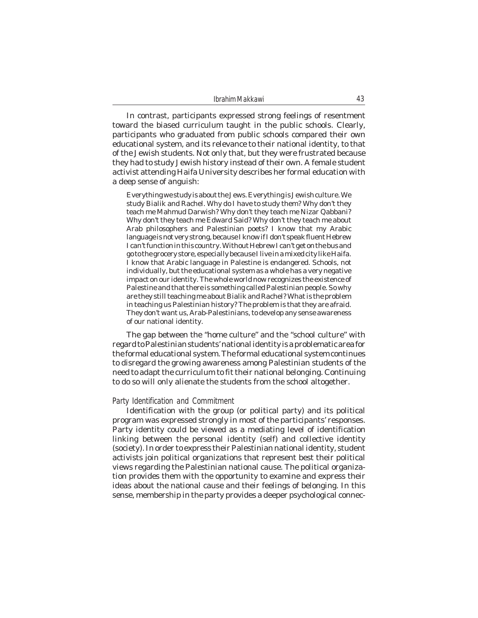In contrast, participants expressed strong feelings of resentment toward the biased curriculum taught in the public schools. Clearly, participants who graduated from public schools compared their own educational system, and its relevance to their national identity, to that of the Jewish students. Not only that, but they were frustrated because they had to study Jewish history instead of their own. A female student activist attending Haifa University describes her formal education with a deep sense of anguish:

Everything we study is about the Jews. Everything is Jewish culture. We study Bialik and Rachel. Why do I have to study them? Why don't they teach me Mahmud Darwish? Why don't they teach me Nizar Qabbani? Why don't they teach me Edward Said? Why don't they teach me about Arab philosophers and Palestinian poets? I know that my Arabic language is not very strong, because I know if I don't speak fluent Hebrew I can't function in this country. Without Hebrew I can't get on the bus and go to the grocery store, especially because I live in a mixed city like Haifa. I know that Arabic language in Palestine is endangered. Schools, not individually, but the educational system as a whole has a very negative impact on our identity. The whole world now recognizes the existence of Palestine and that there is something called Palestinian people. So why are they still teaching me about Bialik and Rachel? What is the problem in teaching us Palestinian history? The problem is that they are afraid. They don't want us, Arab-Palestinians, to develop any sense awareness of our national identity.

The gap between the "home culture" and the "school culture" with regard to Palestinian students' national identity is a problematic area for the formal educational system. The formal educational system continues to disregard the growing awareness among Palestinian students of the need to adapt the curriculum to fit their national belonging. Continuing to do so will only alienate the students from the school altogether.

#### *Party Identification and Commitment*

Identification with the group (or political party) and its political program was expressed strongly in most of the participants' responses. Party identity could be viewed as a mediating level of identification linking between the personal identity (self) and collective identity (society). In order to express their Palestinian national identity, student activists join political organizations that represent best their political views regarding the Palestinian national cause. The political organization provides them with the opportunity to examine and express their ideas about the national cause and their feelings of belonging. In this sense, membership in the party provides a deeper psychological connec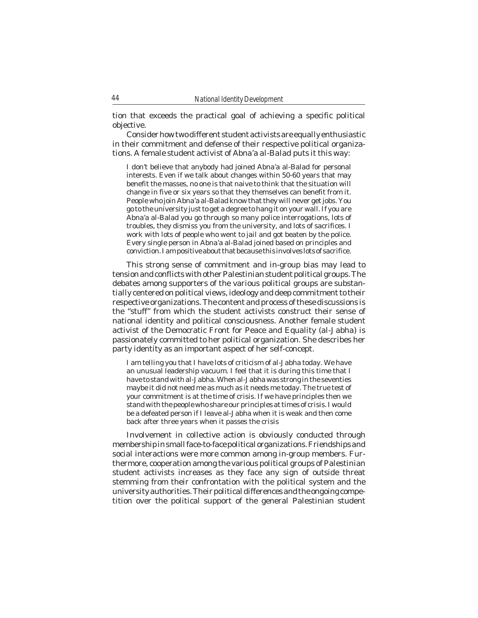tion that exceeds the practical goal of achieving a specific political objective.

Consider how two different student activists are equally enthusiastic in their commitment and defense of their respective political organizations. A female student activist of *Abna'a al-Balad* puts it this way:

I don't believe that anybody had joined Abna'a al-Balad for personal interests. Even if we talk about changes within 50-60 years that may benefit the masses, no one is that naive to think that the situation will change in five or six years so that they themselves can benefit from it. People who join Abna'a al-Balad know that they will never get jobs. You go to the university just to get a degree to hang it on your wall. If you are Abna'a al-Balad you go through so many police interrogations, lots of troubles, they dismiss you from the university, and lots of sacrifices. I work with lots of people who went to jail and got beaten by the police. Every single person in Abna'a al-Balad joined based on principles and conviction. I am positive about that because this involves lots of sacrifice.

This strong sense of commitment and in-group bias may lead to tension and conflicts with other Palestinian student political groups. The debates among supporters of the various political groups are substantially centered on political views, ideology and deep commitment to their respective organizations. The content and process of these discussions is the "stuff" from which the student activists construct their sense of national identity and political consciousness. Another female student activist of the Democratic Front for Peace and Equality (*al-Jabha*) is passionately committed to her political organization. She describes her party identity as an important aspect of her self-concept.

I am telling you that I have lots of criticism of al-Jabha today. We have an unusual leadership vacuum. I feel that it is during this time that I have to stand with al-Jabha. When al-Jabha was strong in the seventies maybe it did not need me as much as it needs me today. The true test of your commitment is at the time of crisis. If we have principles then we stand with the people who share our principles at times of crisis. I would be a defeated person if I leave al-Jabha when it is weak and then come back after three years when it passes the crisis

Involvement in collective action is obviously conducted through membership in small face-to-face political organizations. Friendships and social interactions were more common among in-group members. Furthermore, cooperation among the various political groups of Palestinian student activists increases as they face any sign of outside threat stemming from their confrontation with the political system and the university authorities. Their political differences and the ongoing competition over the political support of the general Palestinian student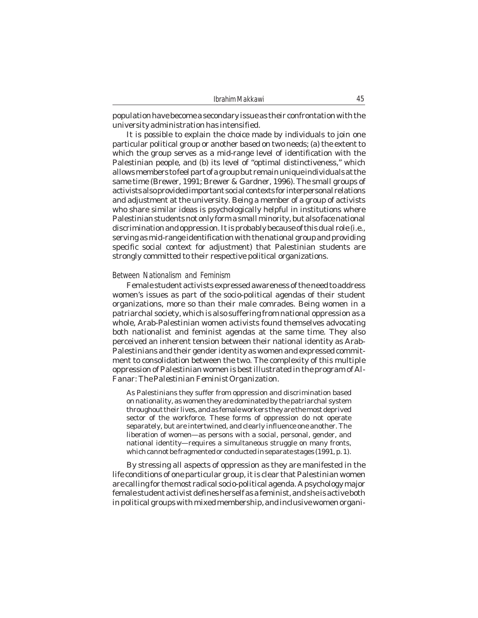population have become a secondary issue as their confrontation with the university administration has intensified.

It is possible to explain the choice made by individuals to join one particular political group or another based on two needs; (a) the extent to which the group serves as a mid-range level of identification with the Palestinian people, and (b) its level of "optimal distinctiveness," which allows members to feel part of a group but remain unique individuals at the same time (Brewer, 1991; Brewer & Gardner, 1996). The small groups of activists also provided important social contexts for interpersonal relations and adjustment at the university. Being a member of a group of activists who share similar ideas is psychologically helpful in institutions where Palestinian students not only form a small minority, but also face national discrimination and oppression. It is probably because of this dual role (i.e., serving as mid-range identification with the national group and providing specific social context for adjustment) that Palestinian students are strongly committed to their respective political organizations.

#### *Between Nationalism and Feminism*

Female student activists expressed awareness of the need to address women's issues as part of the socio-political agendas of their student organizations, more so than their male comrades. Being women in a patriarchal society, which is also suffering from national oppression as a whole, Arab-Palestinian women activists found themselves advocating both nationalist and feminist agendas at the same time. They also perceived an inherent tension between their national identity as Arab-Palestinians and their gender identity as women and expressed commitment to consolidation between the two. The complexity of this multiple oppression of Palestinian women is best illustrated in the program of *Al-Fanar: The Palestinian Feminist Organization*.

As Palestinians they suffer from oppression and discrimination based on nationality, as women they are dominated by the patriarchal system throughout their lives, and as female workers they are the most deprived sector of the workforce. These forms of oppression do not operate separately, but are intertwined, and clearly influence one another. The liberation of women—as persons with a social, personal, gender, and national identity—requires a simultaneous struggle on many fronts, which cannot be fragmented or conducted in separate stages (1991, p. 1).

By stressing all aspects of oppression as they are manifested in the life conditions of one particular group, it is clear that Palestinian women are calling for the most radical socio-political agenda. A psychology major female student activist defines herself as a feminist, and she is active both in political groups with mixed membership, and inclusive women organi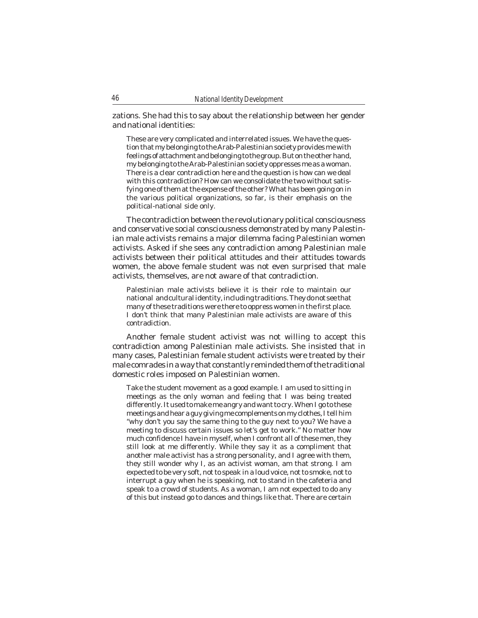zations. She had this to say about the relationship between her gender and national identities:

These are very complicated and interrelated issues. We have the question that my belonging to the Arab-Palestinian society provides me with feelings of attachment and belonging to the group. But on the other hand, my belonging to the Arab-Palestinian society oppresses me as a woman. There is a clear contradiction here and the question is how can we deal with this contradiction? How can we consolidate the two without satisfying one of them at the expense of the other? What has been going on in the various political organizations, so far, is their emphasis on the political-national side only.

The contradiction between the revolutionary political consciousness and conservative social consciousness demonstrated by many Palestinian male activists remains a major dilemma facing Palestinian women activists. Asked if she sees any contradiction among Palestinian male activists between their political attitudes and their attitudes towards women, the above female student was not even surprised that male activists, themselves, are not aware of that contradiction.

Palestinian male activists believe it is their role to maintain our national andcultural identity, including traditions. They do not see that many of these traditions were there to oppress women in the first place. I don't think that many Palestinian male activists are aware of this contradiction.

Another female student activist was not willing to accept this contradiction among Palestinian male activists. She insisted that in many cases, Palestinian female student activists were treated by their male comrades in a way that constantly reminded them of the traditional domestic roles imposed on Palestinian women.

Take the student movement as a good example. I am used to sitting in meetings as the only woman and feeling that I was being treated differently. It used to make me angry and want to cry. When I go to these meetings and hear a guy giving me complements on my clothes, I tell him "why don't you say the same thing to the guy next to you? We have a meeting to discuss certain issues so let's get to work." No matter how much confidence I have in myself, when I confront all of these men, they still look at me differently. While they say it as a compliment that another male activist has a strong personality, and I agree with them, they still wonder why I, as an activist woman, am that strong. I am expected to be very soft, not to speak in a loud voice, not to smoke, not to interrupt a guy when he is speaking, not to stand in the cafeteria and speak to a crowd of students. As a woman, I am not expected to do any of this but instead go to dances and things like that. There are certain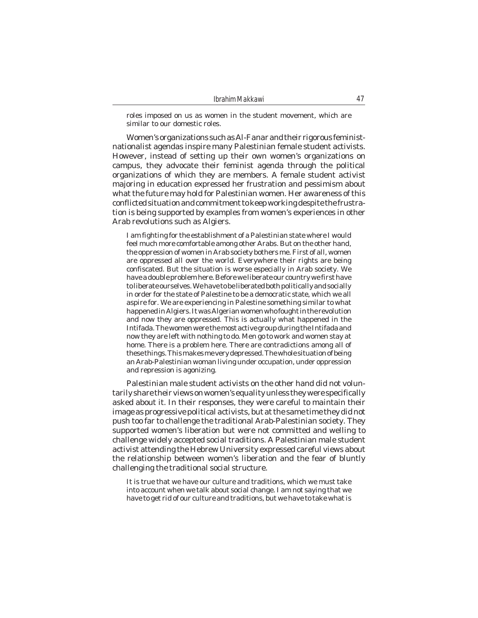roles imposed on us as women in the student movement, which are similar to our domestic roles.

Women's organizations such as *Al-Fanar* and their rigorous feministnationalist agendas inspire many Palestinian female student activists. However, instead of setting up their own women's organizations on campus, they advocate their feminist agenda through the political organizations of which they are members. A female student activist majoring in education expressed her frustration and pessimism about what the future may hold for Palestinian women. Her awareness of this conflicted situation and commitment to keep working despite the frustration is being supported by examples from women's experiences in other Arab revolutions such as Algiers.

I am fighting for the establishment of a Palestinian state where I would feel much more comfortable among other Arabs. But on the other hand, the oppression of women in Arab society bothers me. First of all, women are oppressed all over the world. Everywhere their rights are being confiscated. But the situation is worse especially in Arab society. We have a double problem here. Before we liberate our country we first have to liberate ourselves. We have to be liberated both politically and socially in order for the state of Palestine to be a democratic state, which we all aspire for. We are experiencing in Palestine something similar to what happened in Algiers. It was Algerian women who fought in the revolution and now they are oppressed. This is actually what happened in the Intifada. The women were the most active group during the Intifada and now they are left with nothing to do. Men go to work and women stay at home. There is a problem here. There are contradictions among all of these things. This makes me very depressed. The whole situation of being an Arab-Palestinian woman living under occupation, under oppression and repression is agonizing.

Palestinian male student activists on the other hand did not voluntarily share their views on women's equality unless they were specifically asked about it. In their responses, they were careful to maintain their image as progressive political activists, but at the same time they did not push too far to challenge the traditional Arab-Palestinian society. They supported women's liberation but were not committed and welling to challenge widely accepted social traditions. A Palestinian male student activist attending the Hebrew University expressed careful views about the relationship between women's liberation and the fear of bluntly challenging the traditional social structure.

It is true that we have our culture and traditions, which we must take into account when we talk about social change. I am not saying that we have to get rid of our culture and traditions, but we have to take what is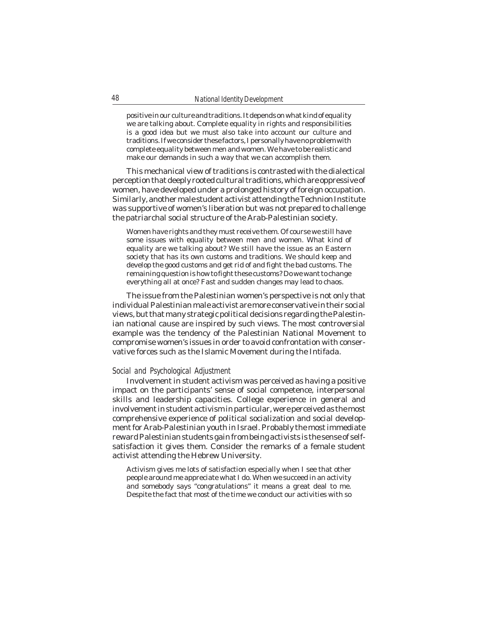positive in our culture and traditions. It depends on what kind of equality we are talking about. Complete equality in rights and responsibilities is a good idea but we must also take into account our culture and traditions. If we consider these factors, I personally have no problem with complete equality between men and women. We have to be realistic and make our demands in such a way that we can accomplish them.

This mechanical view of traditions is contrasted with the dialectical perception that deeply rooted cultural traditions, which are oppressive of women, have developed under a prolonged history of foreign occupation. Similarly, another male student activist attending the Technion Institute was supportive of women's liberation but was not prepared to challenge the patriarchal social structure of the Arab-Palestinian society.

Women have rights and they must receive them. Of course we still have some issues with equality between men and women. What kind of equality are we talking about? We still have the issue as an Eastern society that has its own customs and traditions. We should keep and develop the good customs and get rid of and fight the bad customs. The remaining question is how to fight these customs? Do we want to change everything all at once? Fast and sudden changes may lead to chaos.

The issue from the Palestinian women's perspective is not only that individual Palestinian male activist are more conservative in their social views, but that many strategic political decisions regarding the Palestinian national cause are inspired by such views. The most controversial example was the tendency of the Palestinian National Movement to compromise women's issues in order to avoid confrontation with conservative forces such as the Islamic Movement during the *Intifada*.

#### *Social and Psychological Adjustment*

Involvement in student activism was perceived as having a positive impact on the participants' sense of social competence, interpersonal skills and leadership capacities. College experience in general and involvement in student activism in particular, were perceived as the most comprehensive experience of political socialization and social development for Arab-Palestinian youth in Israel. Probably the most immediate reward Palestinian students gain from being activists is the sense of selfsatisfaction it gives them. Consider the remarks of a female student activist attending the Hebrew University.

Activism gives me lots of satisfaction especially when I see that other people around me appreciate what I do. When we succeed in an activity and somebody says "congratulations" it means a great deal to me. Despite the fact that most of the time we conduct our activities with so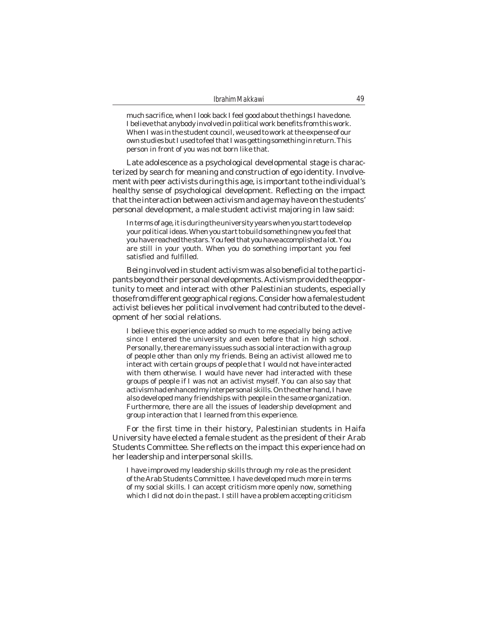much sacrifice, when I look back I feel good about the things I have done. I believe that anybody involved in political work benefits from this work. When I was in the student council, we used to work at the expense of our own studies but I used to feel that I was getting something in return. This person in front of you was not born like that.

Late adolescence as a psychological developmental stage is characterized by search for meaning and construction of ego identity. Involvement with peer activists during this age, is important to the individual's healthy sense of psychological development. Reflecting on the impact that the interaction between activism and age may have on the students' personal development, a male student activist majoring in law said:

In terms of age, it is during the university years when you start to develop your political ideas. When you start to build something new you feel that you have reached the stars. You feel that you have accomplished a lot. You are still in your youth. When you do something important you feel satisfied and fulfilled.

Being involved in student activism was also beneficial to the participants beyond their personal developments. Activism provided the opportunity to meet and interact with other Palestinian students, especially those from different geographical regions. Consider how a female student activist believes her political involvement had contributed to the development of her social relations.

I believe this experience added so much to me especially being active since I entered the university and even before that in high school. Personally, there are many issues such as social interaction with a group of people other than only my friends. Being an activist allowed me to interact with certain groups of people that I would not have interacted with them otherwise. I would have never had interacted with these groups of people if I was not an activist myself. You can also say that activism had enhanced my interpersonal skills. On the other hand, I have also developed many friendships with people in the same organization. Furthermore, there are all the issues of leadership development and group interaction that I learned from this experience.

For the first time in their history, Palestinian students in Haifa University have elected a female student as the president of their Arab Students Committee. She reflects on the impact this experience had on her leadership and interpersonal skills.

I have improved my leadership skills through my role as the president of the Arab Students Committee. I have developed much more in terms of my social skills. I can accept criticism more openly now, something which I did not do in the past. I still have a problem accepting criticism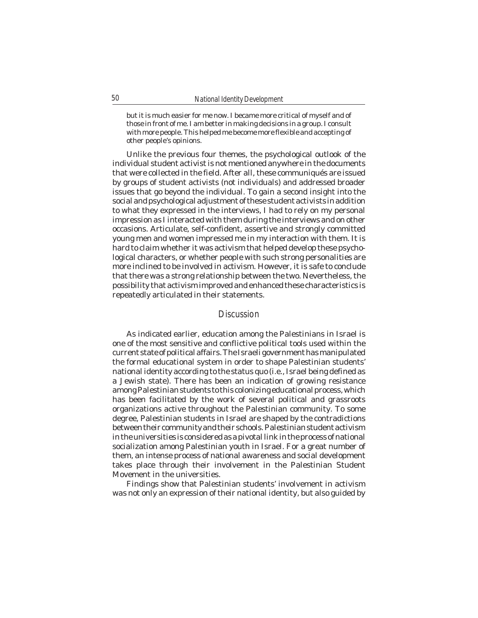but it is much easier for me now. I became more critical of myself and of those in front of me. I am better in making decisions in a group. I consult with more people. This helped me become more flexible and accepting of other people's opinions.

Unlike the previous four themes, the psychological outlook of the individual student activist is not mentioned anywhere in the documents that were collected in the field. After all, these communiqués are issued by groups of student activists (not individuals) and addressed broader issues that go beyond the individual. To gain a second insight into the social and psychological adjustment of these student activists in addition to what they expressed in the interviews, I had to rely on my personal impression as I interacted with them during the interviews and on other occasions. Articulate, self-confident, assertive and strongly committed young men and women impressed me in my interaction with them. It is hard to claim whether it was activism that helped develop these psychological characters, or whether people with such strong personalities are more inclined to be involved in activism. However, it is safe to conclude that there was a strong relationship between the two. Nevertheless, the possibility that activism improved and enhanced these characteristics is repeatedly articulated in their statements.

## **Discussion**

As indicated earlier, education among the Palestinians in Israel is one of the most sensitive and conflictive political tools used within the current state of political affairs. The Israeli government has manipulated the formal educational system in order to shape Palestinian students' national identity according to the status quo (i.e., Israel being defined as a Jewish state). There has been an indication of growing resistance among Palestinian students to this colonizing educational process, which has been facilitated by the work of several political and grassroots organizations active throughout the Palestinian community. To some degree, Palestinian students in Israel are shaped by the contradictions between their community and their schools. Palestinian student activism in the universities is considered as a pivotal link in the process of national socialization among Palestinian youth in Israel. For a great number of them, an intense process of national awareness and social development takes place through their involvement in the Palestinian Student Movement in the universities.

Findings show that Palestinian students' involvement in activism was not only an expression of their national identity, but also guided by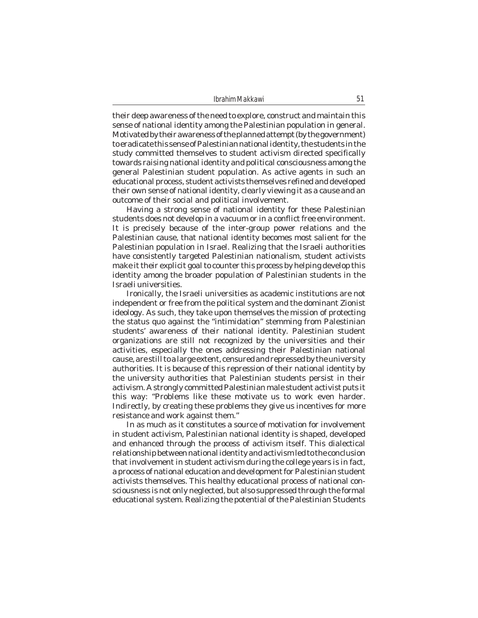*Ibrahim Makkawi* 51

their deep awareness of the need to explore, construct and maintain this sense of national identity among the Palestinian population in general. Motivated by their awareness of the planned attempt (by the government) to eradicate this sense of Palestinian national identity, the students in the study committed themselves to student activism directed specifically towards raising national identity and political consciousness among the general Palestinian student population. As active agents in such an educational process, student activists themselves refined and developed their own sense of national identity, clearly viewing it as a cause and an outcome of their social and political involvement.

Having a strong sense of national identity for these Palestinian students does not develop in a vacuum or in a conflict free environment. It is precisely because of the inter-group power relations and the Palestinian cause, that national identity becomes most salient for the Palestinian population in Israel. Realizing that the Israeli authorities have consistently targeted Palestinian nationalism, student activists make it their explicit goal to counter this process by helping develop this identity among the broader population of Palestinian students in the Israeli universities.

Ironically, the Israeli universities as academic institutions are not independent or free from the political system and the dominant Zionist ideology. As such, they take upon themselves the mission of protecting the status quo against the "intimidation" stemming from Palestinian students' awareness of their national identity. Palestinian student organizations are still not recognized by the universities and their activities, especially the ones addressing their Palestinian national cause, are still to a large extent, censured and repressed by the university authorities. It is because of this repression of their national identity by the university authorities that Palestinian students persist in their activism. A strongly committed Palestinian male student activist puts it this way: "Problems like these motivate us to work even harder. Indirectly, by creating these problems they give us incentives for more resistance and work against them."

In as much as it constitutes a source of motivation for involvement in student activism, Palestinian national identity is shaped, developed and enhanced through the process of activism itself. This dialectical relationship between national identity and activism led to the conclusion that involvement in student activism during the college years is in fact, a process of national education and development for Palestinian student activists themselves. This healthy educational process of national consciousness is not only neglected, but also suppressed through the formal educational system. Realizing the potential of the Palestinian Students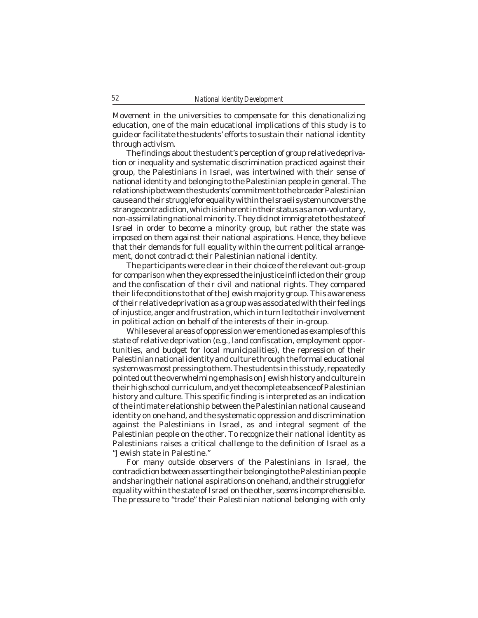Movement in the universities to compensate for this denationalizing education, one of the main educational implications of this study is to guide or facilitate the students' efforts to sustain their national identity through activism.

The findings about the student's perception of group relative deprivation or inequality and systematic discrimination practiced against their group, the Palestinians in Israel, was intertwined with their sense of national identity and belonging to the Palestinian people in general. The relationship between the students' commitment to the broader Palestinian cause and their struggle for equality within the Israeli system uncovers the strange contradiction, which is inherent in their status as a non-voluntary, non-assimilating national minority. They did not immigrate to the state of Israel in order to become a minority group, but rather the state was imposed on them against their national aspirations. Hence, they believe that their demands for full equality within the current political arrangement, do not contradict their Palestinian national identity.

The participants were clear in their choice of the relevant out-group for comparison when they expressed the injustice inflicted on their group and the confiscation of their civil and national rights. They compared their life conditions to that of the Jewish majority group. This awareness of their relative deprivation as a group was associated with their feelings of injustice, anger and frustration, which in turn led to their involvement in political action on behalf of the interests of their in-group.

While several areas of oppression were mentioned as examples of this state of relative deprivation (e.g., land confiscation, employment opportunities, and budget for local municipalities), the repression of their Palestinian national identity and culture through the formal educational system was most pressing to them. The students in this study, repeatedly pointed out the overwhelming emphasis on Jewish history and culture in their high school curriculum, and yet the complete absence of Palestinian history and culture. This specific finding is interpreted as an indication of the intimate relationship between the Palestinian national cause and identity on one hand, and the systematic oppression and discrimination against the Palestinians in Israel, as and integral segment of the Palestinian people on the other. To recognize their national identity as Palestinians raises a critical challenge to the definition of Israel as a "Jewish state in Palestine."

For many outside observers of the Palestinians in Israel, the contradiction between asserting their belonging to the Palestinian people and sharing their national aspirations on one hand, and their struggle for equality within the state of Israel on the other, seems incomprehensible. The pressure to "trade" their Palestinian national belonging with only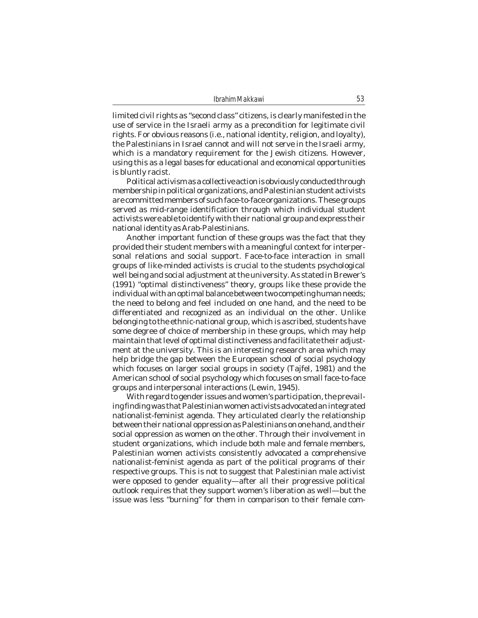limited civil rights as "second class" citizens, is clearly manifested in the use of service in the Israeli army as a precondition for legitimate civil rights. For obvious reasons (i.e., national identity, religion, and loyalty), the Palestinians in Israel cannot and will not serve in the Israeli army, which is a mandatory requirement for the Jewish citizens. However, using this as a legal bases for educational and economical opportunities is bluntly racist.

Political activism as a collective action is obviously conducted through membership in political organizations, and Palestinian student activists are committed members of such face-to-face organizations. These groups served as mid-range identification through which individual student activists were able to identify with their national group and express their national identity as Arab-Palestinians.

Another important function of these groups was the fact that they provided their student members with a meaningful context for interpersonal relations and social support. Face-to-face interaction in small groups of like-minded activists is crucial to the students psychological well being and social adjustment at the university. As stated in Brewer's (1991) "optimal distinctiveness" theory, groups like these provide the individual with an optimal balance between two competing human needs; the need to belong and feel included on one hand, and the need to be differentiated and recognized as an individual on the other. Unlike belonging to the ethnic-national group, which is ascribed, students have some degree of choice of membership in these groups, which may help maintain that level of optimal distinctiveness and facilitate their adjustment at the university. This is an interesting research area which may help bridge the gap between the European school of social psychology which focuses on larger social groups in society (Tajfel, 1981) and the American school of social psychology which focuses on small face-to-face groups and interpersonal interactions (Lewin, 1945).

With regard to gender issues and women's participation, the prevailing finding was that Palestinian women activists advocated an integrated nationalist-feminist agenda. They articulated clearly the relationship between their national oppression as Palestinians on one hand, and their social oppression as women on the other. Through their involvement in student organizations, which include both male and female members, Palestinian women activists consistently advocated a comprehensive nationalist-feminist agenda as part of the political programs of their respective groups. This is not to suggest that Palestinian male activist were opposed to gender equality—after all their progressive political outlook requires that they support women's liberation as well—but the issue was less "burning" for them in comparison to their female com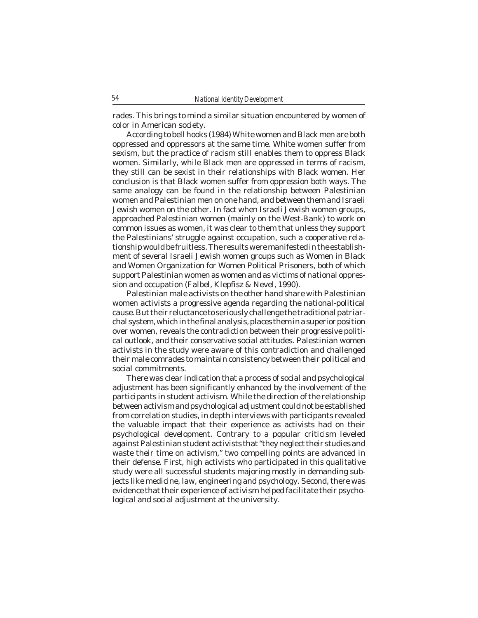rades. This brings to mind a similar situation encountered by women of color in American society.

According to bell hooks (1984) White women and Black men are both oppressed and oppressors at the same time. White women suffer from sexism, but the practice of racism still enables them to oppress Black women. Similarly, while Black men are oppressed in terms of racism, they still can be sexist in their relationships with Black women. Her conclusion is that Black women suffer from oppression both ways. The same analogy can be found in the relationship between Palestinian women and Palestinian men on one hand, and between them and Israeli Jewish women on the other. In fact when Israeli Jewish women groups, approached Palestinian women (mainly on the West-Bank) to work on common issues as women, it was clear to them that unless they support the Palestinians' struggle against occupation, such a cooperative relationship would be fruitless. The results were manifested in the establishment of several Israeli Jewish women groups such as Women in Black and Women Organization for Women Political Prisoners, both of which support Palestinian women as women and as victims of national oppression and occupation (Falbel, Klepfisz & Nevel, 1990).

Palestinian male activists on the other hand share with Palestinian women activists a progressive agenda regarding the national-political cause. But their reluctance to seriously challenge the traditional patriarchal system, which in the final analysis, places them in a superior position over women, reveals the contradiction between their progressive political outlook, and their conservative social attitudes. Palestinian women activists in the study were aware of this contradiction and challenged their male comrades to maintain consistency between their political and social commitments.

There was clear indication that a process of social and psychological adjustment has been significantly enhanced by the involvement of the participants in student activism. While the direction of the relationship between activism and psychological adjustment could not be established from correlation studies, in depth interviews with participants revealed the valuable impact that their experience as activists had on their psychological development. Contrary to a popular criticism leveled against Palestinian student activists that "they neglect their studies and waste their time on activism," two compelling points are advanced in their defense. First, high activists who participated in this qualitative study were all successful students majoring mostly in demanding subjects like medicine, law, engineering and psychology. Second, there was evidence that their experience of activism helped facilitate their psychological and social adjustment at the university.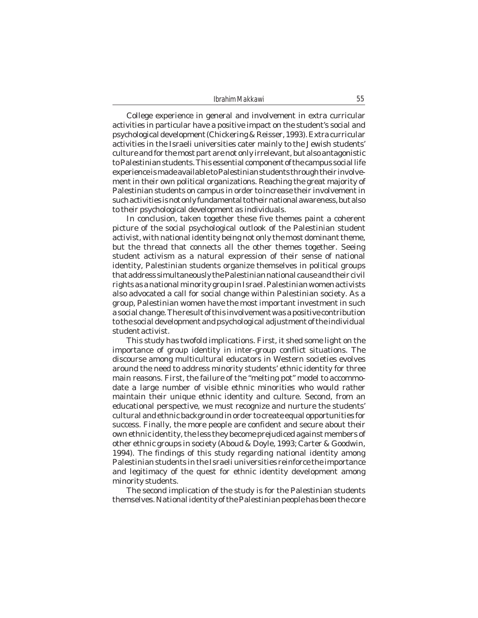*Ibrahim Makkawi* 55

College experience in general and involvement in extra curricular activities in particular have a positive impact on the student's social and psychological development (Chickering & Reisser, 1993). Extra curricular activities in the Israeli universities cater mainly to the Jewish students' culture and for the most part are not only irrelevant, but also antagonistic to Palestinian students. This essential component of the campus social life experience is made available to Palestinian students through their involvement in their own political organizations. Reaching the great majority of Palestinian students on campus in order to increase their involvement in such activities is not only fundamental to their national awareness, but also to their psychological development as individuals.

In conclusion, taken together these five themes paint a coherent picture of the social psychological outlook of the Palestinian student activist, with national identity being not only the most dominant theme, but the thread that connects all the other themes together. Seeing student activism as a natural expression of their sense of national identity, Palestinian students organize themselves in political groups that address simultaneously the Palestinian national cause and their civil rights as a national minority group in Israel. Palestinian women activists also advocated a call for social change within Palestinian society. As a group, Palestinian women have the most important investment in such a social change. The result of this involvement was a positive contribution to the social development and psychological adjustment of the individual student activist.

This study has twofold implications. First, it shed some light on the importance of group identity in inter-group conflict situations. The discourse among multicultural educators in Western societies evolves around the need to address minority students' ethnic identity for three main reasons. First, the failure of the "melting pot" model to accommodate a large number of visible ethnic minorities who would rather maintain their unique ethnic identity and culture. Second, from an educational perspective, we must recognize and nurture the students' cultural and ethnic background in order to create equal opportunities for success. Finally, the more people are confident and secure about their own ethnic identity, the less they become prejudiced against members of other ethnic groups in society (Aboud & Doyle, 1993; Carter & Goodwin, 1994). The findings of this study regarding national identity among Palestinian students in the Israeli universities reinforce the importance and legitimacy of the quest for ethnic identity development among minority students.

The second implication of the study is for the Palestinian students themselves. National identity of the Palestinian people has been the core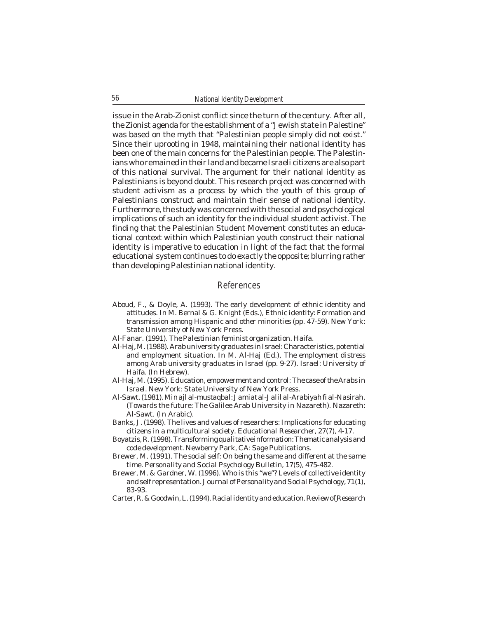issue in the Arab-Zionist conflict since the turn of the century. After all, the Zionist agenda for the establishment of a "Jewish state in Palestine" was based on the myth that "Palestinian people simply did not exist." Since their uprooting in 1948, maintaining their national identity has been one of the main concerns for the Palestinian people. The Palestinians who remained in their land and became Israeli citizens are also part of this national survival. The argument for their national identity as Palestinians is beyond doubt. This research project was concerned with student activism as a process by which the youth of this group of Palestinians construct and maintain their sense of national identity. Furthermore, the study was concerned with the social and psychological implications of such an identity for the individual student activist. The finding that the Palestinian Student Movement constitutes an educational context within which Palestinian youth construct their national identity is imperative to education in light of the fact that the formal educational system continues to do exactly the opposite; blurring rather than developing Palestinian national identity.

# References

- Aboud, F., & Doyle, A. (1993). The early development of ethnic identity and attitudes. In M. Bernal & G. Knight (Eds.), *Ethnic identity: Formation and transmission among Hispanic and other minorities* (pp. 47-59). New York: State University of New York Press.
- Al-Fanar. (1991). *The Palestinian feminist organization*. Haifa.
- Al-Haj, M. (1988). Arab university graduates in Israel: Characteristics, potential and employment situation. In M. Al-Haj (Ed.), *The employment distress among Arab university graduates in Israel* (pp. 9-27). Israel: University of Haifa. (In Hebrew).
- Al-Haj, M. (1995). *Education, empowerment and control: The case of the Arabs in Israel.* New York: State University of New York Press.
- Al-Sawt. (1981). *Min ajl al-mustaqbal: Jamiat al-Jalil al-Arabiyah fi al-Nasirah.* (Towards the future: The Galilee Arab University in Nazareth). Nazareth: Al-Sawt. (In Arabic).
- Banks, J. (1998). The lives and values of researchers: Implications for educating citizens in a multicultural society. *Educational Researcher, 27*(7), 4-17.
- Boyatzis, R. (1998). *Transforming qualitative information: Thematic analysis and code development*. Newberry Park, CA: Sage Publications.
- Brewer, M. (1991). The social self: On being the same and different at the same time. *Personality and Social Psychology Bulletin, 17*(5), 475-482.
- Brewer, M. & Gardner, W. (1996). Who is this "we"? Levels of collective identity and self representation. *Journal of Personality and Social Psychology, 71*(1), 83-93.
- Carter, R. & Goodwin, L. (1994). Racial identity and education. *Review ofResearch*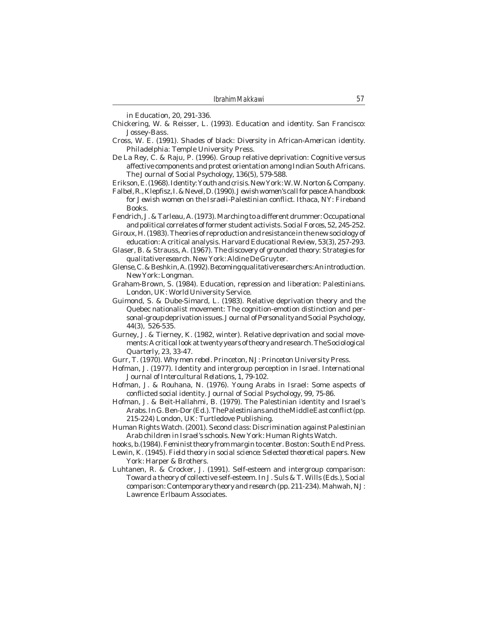*in Education, 20*, 291-336.

- Chickering, W. & Reisser, L. (1993). *Education and identity.* San Francisco: Jossey-Bass.
- Cross, W. E. (1991). *Shades of black: Diversity in African-American identity.* Philadelphia: Temple University Press.
- De La Rey, C. & Raju, P. (1996). Group relative deprivation: Cognitive versus affective components and protest orientation among Indian South Africans. *The Journal of Social Psychology, 136*(5), 579-588.
- Erikson, E. (1968). *Identity: Youth and crisis*. New York: W. W. Norton & Company.
- Falbel, R., Klepfisz, I. & Nevel, D. (1990). *Jewish women's call for peace: A handbook for Jewish women on the Israeli-Palestinian conflict.* Ithaca, NY: Fireband Books.
- Fendrich, J. & Tarleau, A. (1973). Marching to a different drummer: Occupational and political correlates of former student activists. *Social Forces, 52*, 245-252.
- Giroux, H. (1983). Theories of reproduction and resistance in the new sociology of education: A critical analysis. *Harvard Educational Review, 53*(3), 257-293.
- Glaser, B. & Strauss, A. (1967). *The discovery of grounded theory: Strategies for qualitative research.* New York: Aldine De Gruyter.
- Glense, C. & Beshkin, A. (1992). *Becoming qualitative researchers: An introduction*. New York: Longman.
- Graham-Brown, S. (1984). *Education, repression and liberation: Palestinians.* London, UK: World University Service.
- Guimond, S. & Dube-Simard, L. (1983). Relative deprivation theory and the Quebec nationalist movement: The cognition-emotion distinction and personal-group deprivation issues. *Journal of Personality and Social Psychology, 44*(3), 526-535.
- Gurney, J. & Tierney, K. (1982, winter). Relative deprivation and social movements: A critical look at twenty years of theory and research. *The Sociological Quarterly, 23*, 33-47.
- Gurr, T. (1970). *Why men rebel.* Princeton, NJ: Princeton University Press.
- Hofman, J. (1977). Identity and intergroup perception in Israel. *International Journal of Intercultural Relations, 1,* 79-102.
- Hofman, J. & Rouhana, N. (1976). Young Arabs in Israel: Some aspects of conflicted social identity. *Journal of Social Psychology, 99,* 75-86.
- Hofman, J. & Beit-Hallahmi, B. (1979). The Palestinian identity and Israel's Arabs. In G. Ben-Dor (Ed.). *The Palestinians and the Middle East conflict* (pp. 215-224) London, UK: Turtledove Publishing.
- Human Rights Watch. (2001). *Second class: Discrimination against Palestinian Arab children in Israel's schools*. New York: Human Rights Watch.
- hooks, b.(1984). *Feminist theory from margin to center.* Boston: South End Press.
- Lewin, K. (1945). *Field theory in social science: Selected theoretical papers.* New York: Harper & Brothers.
- Luhtanen, R. & Crocker, J. (1991). Self-esteem and intergroup comparison: Toward a theory of collective self-esteem. In J. Suls & T. Wills (Eds.), *Social comparison: Contemporary theory and research* (pp. 211-234). Mahwah, NJ: Lawrence Erlbaum Associates.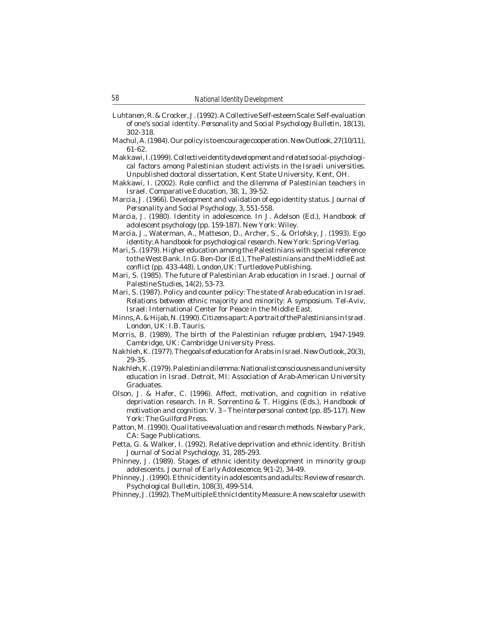- Luhtanen, R. & Crocker, J. (1992). A Collective Self-esteem Scale: Self-evaluation of one's social identity. *Personality and Social Psychology Bulletin, 18*(13), 302-318.
- Machul, A. (1984). Our policy is to encourage cooperation. *New Outlook, 27*(10/11), 61-62.
- Makkawi, I.(1999). *Collective identity development and related social-psychological factors among Palestinian student activists in the Israeli universities.* Unpublished doctoral dissertation, Kent State University, Kent, OH.
- Makkawi, I. (2002). Role conflict and the dilemma of Palestinian teachers in Israel. *Comparative Education, 38*, 1, 39-52.
- Marcia, J. (1966). Development and validation of ego identity status. *Journal of Personality and Social Psychology, 3*, 551-558.
- Marcia, J. (1980). Identity in adolescence. In J. Adelson (Ed.), *Handbook of adolescent psychology* (pp. 159-187). New York: Wiley.
- Marcia, J., Waterman, A., Matteson, D., Archer, S., & Orlofsky, J. (1993). *Ego identity: A handbook for psychological research.* New York: Spring-Verlag.
- Mari, S. (1979). Higher education among the Palestinians with special reference to the West Bank. In G. Ben-Dor (Ed.), *The Palestinians and the Middle East conflict* (pp. 433-448). London,UK: Turtledove Publishing.
- Mari, S. (1985). The future of Palestinian Arab education in Israel. *Journal of Palestine Studies, 14*(2), 53-73.
- Mari, S. (1987). Policy and counter policy: The state of Arab education in Israel. *Relations between ethnic majority and minority: A symposium.* Tel-Aviv, Israel: International Center for Peace in the Middle East.
- Minns, A. & Hijab, N. (1990). *Citizens apart: A portrait of the Palestinians in Israel.* London, UK: I.B. Tauris.
- Morris, B. (1989). *The birth of the Palestinian refugee problem, 1947-1949*. Cambridge, UK: Cambridge University Press.
- Nakhleh, K. (1977). The goals of education for Arabs in Israel. *New Outlook, 20*(3), 29-35.
- Nakhleh, K. (1979). *Palestinian dilemma: Nationalist consciousness and university education in Israel.* Detroit, MI: Association of Arab-American University Graduates.
- Olson, J. & Hafer, C. (1996). Affect, motivation, and cognition in relative deprivation research. In R. Sorrentino & T. Higgins (Eds.), *Handbook of motivation and cognition: V. 3 – The interpersonal context* (pp. 85-117). New York: The Guilford Press.
- Patton, M. (1990). *Qualitative evaluation and research methods.* Newbary Park, CA: Sage Publications.
- Petta, G. & Walker, I. (1992). Relative deprivation and ethnic identity. *British Journal of Social Psychology, 31*, 285-293.
- Phinney, J. (1989). Stages of ethnic identity development in minority group adolescents. *Journal of Early Adolescence, 9*(1-2), 34-49.
- Phinney, J. (1990). Ethnic identity in adolescents and adults: Review of research. *Psychological Bulletin, 108*(3), 499-514.
- Phinney, J. (1992). The Multiple Ethnic Identity Measure: A new scale for use with